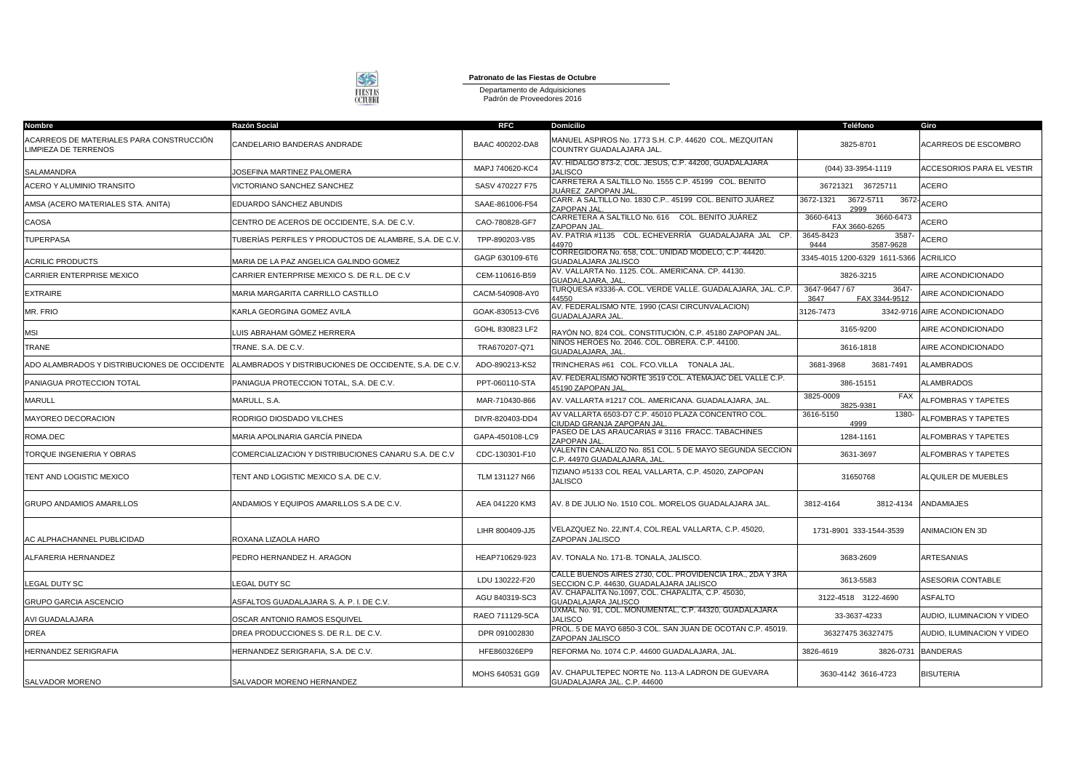

**Patronato de las Fiestas de Octubre**

Departamento de Adquisiciones Padrón de Proveedores 2016

| Nombre                                                           | Razón Social                                          | <b>RFC</b>      | <b>Domicilio</b>                                                                                     | Teléfono                                         | Giro                         |
|------------------------------------------------------------------|-------------------------------------------------------|-----------------|------------------------------------------------------------------------------------------------------|--------------------------------------------------|------------------------------|
| ACARREOS DE MATERIALES PARA CONSTRUCCIÓN<br>LIMPIEZA DE TERRENOS | CANDELARIO BANDERAS ANDRADE                           | BAAC 400202-DA8 | MANUEL ASPIROS No. 1773 S.H. C.P. 44620 COL. MEZQUITAN<br>COUNTRY GUADALAJARA JAL.                   | 3825-8701                                        | ACARREOS DE ESCOMBRO         |
| SALAMANDRA                                                       | JOSEFINA MARTINEZ PALOMERA                            | MAPJ 740620-KC4 | AV. HIDALGO 873-2, COL. JESUS, C.P. 44200, GUADALAJARA<br><b>JALISCO</b>                             | (044) 33-3954-1119                               | ACCESORIOS PARA EL VESTIR    |
| ACERO Y ALUMINIO TRANSITO                                        | <b>/ICTORIANO SANCHEZ SANCHEZ</b>                     | SASV 470227 F75 | CARRETERA A SALTILLO No. 1555 C.P. 45199 COL. BENITO<br>IUÁREZ ZAPOPAN JAL                           | 36721321 36725711                                | <b>ACERO</b>                 |
| AMSA (ACERO MATERIALES STA. ANITA)                               | EDUARDO SÁNCHEZ ABUNDIS                               | SAAE-861006-F54 | CARR. A SALTILLO No. 1830 C.P., 45199 COL. BENITO JUÁREZ<br>ZAPOPAN JAI                              | 3672-5711<br>3672-1321<br>3672<br>2999           | ACERO                        |
| CAOSA                                                            | CENTRO DE ACEROS DE OCCIDENTE, S.A. DE C.V.           | CAO-780828-GF7  | CARRETERA A SALTILLO No. 616 COL. BENITO JUÁREZ<br>ZAPOPAN JAL                                       | 3660-6413<br>3660-6473<br>FAX 3660-6265          | ACERO                        |
| <b>TUPERPASA</b>                                                 | TUBERÍAS PERFILES Y PRODUCTOS DE ALAMBRE. S.A. DE C.V | TPP-890203-V85  | AV. PATRIA #1135 COL. ECHEVERRÍA GUADALAJARA JAL CP.<br>44970                                        | 3645-8423<br>3587<br>9444<br>3587-9628           | ACERO                        |
| <b>ACRILIC PRODUCTS</b>                                          | MARIA DE LA PAZ ANGELICA GALINDO GOMEZ                | GAGP 630109-6T6 | CORREGIDORA No. 658, COL. UNIDAD MODELO, C.P. 44420.<br>GUADALAJARA JALISCO                          | 3345-4015 1200-6329 1611-5366 ACRILICO           |                              |
| CARRIER ENTERPRISE MEXICO                                        | CARRIER ENTERPRISE MEXICO S. DE R.L. DE C.V           | CEM-110616-B59  | AV. VALLARTA No. 1125. COL. AMERICANA. CP. 44130.<br>GUADALAJARA, JAL                                | 3826-3215                                        | AIRE ACONDICIONADO           |
| <b>EXTRAIRE</b>                                                  | MARIA MARGARITA CARRILLO CASTILLO                     | CACM-540908-AY0 | TURQUESA #3336-A. COL. VERDE VALLE. GUADALAJARA, JAL. C.P.<br>44550                                  | 3647-9647 / 67<br>3647-<br>FAX 3344-9512<br>3647 | AIRE ACONDICIONADO           |
| MR. FRIO                                                         | KARLA GEORGINA GOMEZ AVILA                            | GOAK-830513-CV6 | AV. FEDERALISMO NTE. 1990 (CASI CIRCUNVALACION)<br><b>GUADALAJARA JAL</b>                            | 3126-7473                                        | 3342-9716 AIRE ACONDICIONADO |
| <b>MSI</b>                                                       | UIS ABRAHAM GÓMEZ HERRERA.                            | GOHL 830823 LF2 | RAYÓN NO, 824 COL. CONSTITUCIÓN, C.P. 45180 ZAPOPAN JAL.                                             | 3165-9200                                        | AIRE ACONDICIONADO           |
| <b>TRANE</b>                                                     | TRANE. S.A. DE C.V.                                   | TRA670207-Q71   | NIÑOS HEROES No. 2046. COL. OBRERA. C.P. 44100.<br>GUADALAJARA, JAL                                  | 3616-1818                                        | AIRE ACONDICIONADO           |
| ADO ALAMBRADOS Y DISTRIBUCIONES DE OCCIDENTE                     | ALAMBRADOS Y DISTRIBUCIONES DE OCCIDENTE, S.A. DE C.V | ADO-890213-KS2  | TRINCHERAS #61 COL. FCO.VILLA TONALA JAL.                                                            | 3681-3968<br>3681-7491                           | <b>ALAMBRADOS</b>            |
| PANIAGUA PROTECCION TOTAL                                        | PANIAGUA PROTECCION TOTAL, S.A. DE C.V.               | PPT-060110-STA  | AV. FEDERALISMO NORTE 3519 COL. ATEMAJAC DEL VALLE C.P.<br>45190 ZAPOPAN JAL                         | 386-15151                                        | <b>ALAMBRADOS</b>            |
| <b>MARULL</b>                                                    | MARULL, S.A.                                          | MAR-710430-866  | AV. VALLARTA #1217 COL. AMERICANA. GUADALAJARA, JAL.                                                 | 3825-0009<br><b>FAX</b><br>3825-9381             | ALFOMBRAS Y TAPETES          |
| MAYOREO DECORACION                                               | RODRIGO DIOSDADO VILCHES                              | DIVR-820403-DD4 | AV VALLARTA 6503-D7 C.P. 45010 PLAZA CONCENTRO COL.<br><b>IUDAD GRANJA ZAPOPAN JAL</b>               | 3616-5150<br>1380-<br>4999                       | <b>ALFOMBRAS Y TAPETES</b>   |
| ROMA.DEC                                                         | MARIA APOLINARIA GARCÍA PINEDA                        | GAPA-450108-LC9 | PASEO DE LAS ARAUCARIAS # 3116 FRACC. TABACHINES<br>ZAPOPAN JAL                                      | 1284-1161                                        | <b>ALFOMBRAS Y TAPETES</b>   |
| TORQUE INGENIERIA Y OBRAS                                        | COMERCIALIZACION Y DISTRIBUCIONES CANARU S.A. DE C.V  | CDC-130301-F10  | VALENTIN CANALIZO No. 851 COL. 5 DE MAYO SEGUNDA SECCION<br>C.P. 44970 GUADALAJARA, JAL              | 3631-3697                                        | ALFOMBRAS Y TAPETES          |
| TENT AND LOGISTIC MEXICO                                         | TENT AND LOGISTIC MEXICO S.A. DE C.V.                 | TLM 131127 N66  | TIZIANO #5133 COL REAL VALLARTA, C.P. 45020, ZAPOPAN<br><b>JALISCO</b>                               | 31650768                                         | ALQUILER DE MUEBLES          |
| <b>GRUPO ANDAMIOS AMARILLOS</b>                                  | ANDAMIOS Y EQUIPOS AMARILLOS S.A DE C.V.              | AEA 041220 KM3  | AV. 8 DE JULIO No. 1510 COL. MORELOS GUADALAJARA JAL.                                                | 3812-4164<br>3812-4134                           | ANDAMIAJES                   |
| AC ALPHACHANNEL PUBLICIDAD                                       | ROXANA LIZAOLA HARO                                   | LIHR 800409-JJ5 | VELAZQUEZ No. 22, INT.4, COL.REAL VALLARTA, C.P. 45020,<br>ZAPOPAN JALISCO                           | 1731-8901 333-1544-3539                          | <b>ANIMACION EN 3D</b>       |
| ALFARERIA HERNANDEZ                                              | PEDRO HERNANDEZ H. ARAGON                             | HEAP710629-923  | AV. TONALA No. 171-B. TONALA, JALISCO.                                                               | 3683-2609                                        | <b>ARTESANIAS</b>            |
| LEGAL DUTY SC                                                    | <b>EGAL DUTY SC</b>                                   | LDU 130222-F20  | CALLE BUENOS AIRES 2730, COL. PROVIDENCIA 1RA., 2DA Y 3RA<br>SECCION C.P. 44630, GUADALAJARA JALISCO | 3613-5583                                        | ASESORIA CONTABLE            |
| <b>GRUPO GARCIA ASCENCIO</b>                                     | ASFALTOS GUADALAJARA S. A. P. I. DE C.V.              | AGU 840319-SC3  | AV. CHAPALITA No.1097, COL. CHAPALITA, C.P. 45030,<br>GUADALAJARA JALISCO                            | 3122-4518 3122-4690                              | <b>ASFALTO</b>               |
| AVI GUADALAJARA                                                  | OSCAR ANTONIO RAMOS ESQUIVEL                          | RAEO 711129-5CA | UXMAL No. 91, COL. MONUMENTAL, C.P. 44320, GUADALAJARA<br><b>JALISCO</b>                             | 33-3637-4233                                     | AUDIO, ILUMINACION Y VIDEO   |
| <b>DREA</b>                                                      | DREA PRODUCCIONES S. DE R.L. DE C.V.                  | DPR 091002830   | PROL. 5 DE MAYO 6850-3 COL. SAN JUAN DE OCOTAN C.P. 45019.<br>ZAPOPAN JALISCO                        | 36327475 36327475                                | AUDIO. ILUMINACION Y VIDEO   |
| HERNANDEZ SERIGRAFIA                                             | HERNANDEZ SERIGRAFIA, S.A. DE C.V.                    | HFE860326EP9    | REFORMA No. 1074 C.P. 44600 GUADALAJARA, JAL                                                         | 3826-4619<br>3826-0731                           | <b>BANDERAS</b>              |
| SALVADOR MORENO                                                  | SALVADOR MORENO HERNANDEZ                             | MOHS 640531 GG9 | AV. CHAPULTEPEC NORTE No. 113-A LADRON DE GUEVARA<br>GUADALAJARA JAL. C.P. 44600                     | 3630-4142 3616-4723                              | <b>BISUTERIA</b>             |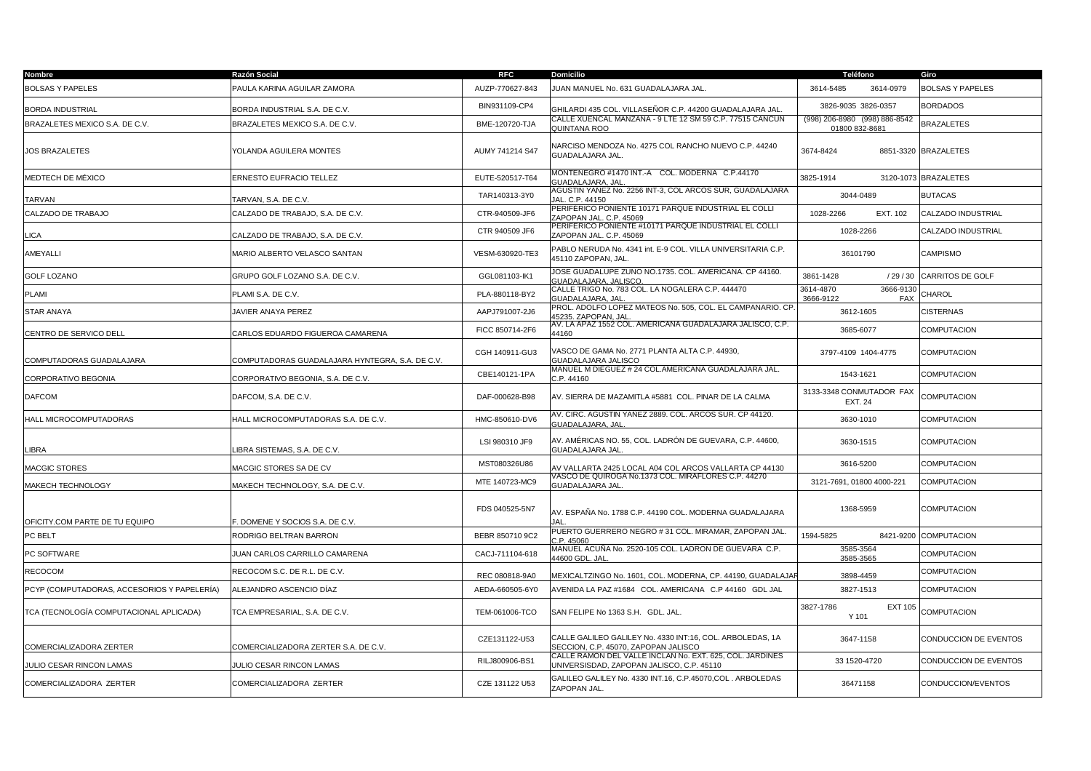| Nombre                                      | Razón Social                                    | <b>RFC</b>      | <b>Domicilio</b>                                                                                      | Teléfono                                        | Giro                    |
|---------------------------------------------|-------------------------------------------------|-----------------|-------------------------------------------------------------------------------------------------------|-------------------------------------------------|-------------------------|
| <b>BOLSAS Y PAPELES</b>                     | PAULA KARINA AGUILAR ZAMORA                     | AUZP-770627-843 | JUAN MANUEL No. 631 GUADALAJARA JAL.                                                                  | 3614-5485<br>3614-0979                          | <b>BOLSAS Y PAPELES</b> |
| <b>BORDA INDUSTRIAL</b>                     | BORDA INDUSTRIAL S.A. DE C.V.                   | BIN931109-CP4   | 3HILARDI 435 COL. VILLASEÑOR C.P. 44200 GUADALAJARA JAL                                               | 3826-9035 3826-0357                             | <b>BORDADOS</b>         |
| BRAZALETES MEXICO S.A. DE C.V.              | BRAZALETES MEXICO S.A. DE C.V.                  | BME-120720-TJA  | CALLE XUENCAL MANZANA - 9 LTE 12 SM 59 C.P. 77515 CANCUN<br>QUINTANA ROO                              | (998) 206-8980 (998) 886-8542<br>01800 832-8681 | <b>BRAZALETES</b>       |
| <b>JOS BRAZALETES</b>                       | YOLANDA AGUILERA MONTES                         | AUMY 741214 S47 | VARCISO MENDOZA No. 4275 COL RANCHO NUEVO C.P. 44240<br>GUADALAJARA JAL.                              | 3674-8424                                       | 8851-3320 BRAZALETES    |
| MEDTECH DE MÉXICO                           | ERNESTO EUFRACIO TELLEZ                         | EUTE-520517-T64 | MONTENEGRO #1470 INT.-A COL. MODERNA C.P.44170<br><b>GUADALAJARA, JAI</b>                             | 3825-1914                                       | 3120-1073 BRAZALETES    |
| TARVAN                                      | TARVAN, S.A. DE C.V.                            | TAR140313-3Y0   | AGUSTIN YANEZ No. 2256 INT-3, COL ARCOS SUR, GUADALAJARA<br>JAL. C.P. 44150                           | 3044-0489                                       | <b>BUTACAS</b>          |
| CALZADO DE TRABAJO                          | CALZADO DE TRABAJO, S.A. DE C.V.                | CTR-940509-JF6  | PERIFÉRICO PONIENTE 10171 PARQUE INDUSTRIAL EL COLLI<br>ZAPOPAN JAL. C.P. 45069                       | 1028-2266<br>EXT. 102                           | CALZADO INDUSTRIAL      |
| LICA                                        | CALZADO DE TRABAJO, S.A. DE C.V.                | CTR 940509 JF6  | PERIFERICO PONIENTE #10171 PARQUE INDUSTRIAL EL COLLI<br>ZAPOPAN JAL. C.P. 45069                      | 1028-2266                                       | CALZADO INDUSTRIAL      |
| AMEYALLI                                    | MARIO ALBERTO VELASCO SANTAN                    | VESM-630920-TE3 | PABLO NERUDA No. 4341 int. E-9 COL. VILLA UNIVERSITARIA C.P.<br>45110 ZAPOPAN. JAL.                   | 36101790                                        | <b>CAMPISMO</b>         |
| <b>GOLF LOZANO</b>                          | GRUPO GOLF LOZANO S.A. DE C.V.                  | GGL081103-IK1   | JOSE GUADALUPE ZUNO NO.1735, COL. AMERICANA, CP 44160.<br><b>GUADALAJARA, JALISCO.</b>                | 3861-1428<br>/29/30                             | <b>CARRITOS DE GOLF</b> |
| <b>PLAMI</b>                                | PLAMI S.A. DE C.V.                              | PLA-880118-BY2  | CALLE TRIGO No. 783 COL. LA NOGALERA C.P. 444470<br><b>GUADALAJARA, JAI</b>                           | 3666-9130<br>3614-4870<br>3666-9122<br>FAX      | CHAROL                  |
| STAR ANAYA                                  | JAVIER ANAYA PEREZ                              | AAPJ791007-2J6  | PROL. ADOLFO LOPEZ MATEOS No. 505, COL. EL CAMPANARIO. CP<br>45235, ZAPOPAN, JAI                      | 3612-1605                                       | <b>CISTERNAS</b>        |
| CENTRO DE SERVICO DELL                      | CARLOS EDUARDO FIGUEROA CAMARENA                | FICC 850714-2F6 | AV. LA APAZ 1552 COL. AMERICANA GUADALAJARA JALISCO, C.P.<br>44160                                    | 3685-6077                                       | <b>COMPUTACION</b>      |
| COMPUTADORAS GUADALAJARA                    | COMPUTADORAS GUADALAJARA HYNTEGRA, S.A. DE C.V. | CGH 140911-GU3  | VASCO DE GAMA No. 2771 PLANTA ALTA C.P. 44930,<br>GUADALAJARA JALISCO                                 | 3797-4109 1404-4775                             | COMPUTACION             |
| CORPORATIVO BEGONIA                         | CORPORATIVO BEGONIA, S.A. DE C.V.               | CBE140121-1PA   | MANUEL M DIEGUEZ # 24 COL.AMERICANA GUADALAJARA JAL.<br>C.P. 44160                                    | 1543-1621                                       | COMPUTACION             |
| <b>DAFCOM</b>                               | DAFCOM, S.A. DE C.V.                            | DAF-000628-B98  | AV. SIERRA DE MAZAMITLA #5881 COL. PINAR DE LA CALMA                                                  | 3133-3348 CONMUTADOR FAX<br><b>EXT. 24</b>      | <b>COMPUTACION</b>      |
| HALL MICROCOMPUTADORAS                      | HALL MICROCOMPUTADORAS S.A. DE C.V.             | HMC-850610-DV6  | NV. CIRC. AGUSTIN YAÑEZ 2889. COL. ARCOS SUR. CP 44120.<br><b>GUADALAJARA, JAL</b>                    | 3630-1010                                       | COMPUTACION             |
| LIBRA                                       | LIBRA SISTEMAS, S.A. DE C.V.                    | LSI 980310 JF9  | AV. AMÉRICAS NO. 55, COL. LADRÓN DE GUEVARA, C.P. 44600,<br>GUADALAJARA JAL.                          | 3630-1515                                       | COMPUTACION             |
| MACGIC STORES                               | MACGIC STORES SA DE CV                          | MST080326U86    | V VALLARTA 2425 LOCAL A04 COL ARCOS VALLARTA CP 44130                                                 | 3616-5200                                       | <b>COMPUTACION</b>      |
| MAKECH TECHNOLOGY                           | MAKECH TECHNOLOGY, S.A. DE C.V.                 | MTE 140723-MC9  | /ASCO DE QUIROGA No.1373 COL. MIRAFLORES C.P. 44270<br><b>GUADALAJARA JAL</b>                         | 3121-7691, 01800 4000-221                       | COMPUTACION             |
| OFICITY.COM PARTE DE TU EQUIPO              | . DOMENE Y SOCIOS S.A. DE C.V.                  | FDS 040525-5N7  | AV. ESPAÑA No. 1788 C.P. 44190 COL. MODERNA GUADALAJARA<br><b>IAI</b>                                 | 1368-5959                                       | COMPUTACION             |
| PC BELT                                     | RODRIGO BELTRAN BARRON                          | BEBR 850710 9C2 | PUERTO GUERRERO NEGRO # 31 COL. MIRAMAR. ZAPOPAN JAL.<br>C.P. 45060                                   | 1594-5825<br>8421-9200                          | <b>COMPUTACION</b>      |
| PC SOFTWARE                                 | JUAN CARLOS CARRILLO CAMARENA                   | CACJ-711104-618 | MANUEL ACUÑA No. 2520-105 COL. LADRON DE GUEVARA C.P.<br>44600 GDL, JAL                               | 3585-3564<br>3585-3565                          | COMPUTACION             |
| RECOCOM                                     | RECOCOM S.C. DE R.L. DE C.V.                    | REC 080818-9A0  | MEXICALTZINGO No. 1601, COL. MODERNA, CP. 44190, GUADALAJAF                                           | 3898-4459                                       | COMPUTACION             |
| PCYP (COMPUTADORAS, ACCESORIOS Y PAPELERÍA) | ALEJANDRO ASCENCIO DÍAZ                         | AEDA-660505-6Y0 | AVENIDA LA PAZ #1684   COL. AMERICANA   C.P 44160   GDL JAL                                           | 3827-1513                                       | COMPUTACION             |
| TCA (TECNOLOGÍA COMPUTACIONAL APLICADA)     | TCA EMPRESARIAL, S.A. DE C.V.                   | TEM-061006-TCO  | SAN FELIPE No 1363 S.H. GDL. JAL.                                                                     | 3827-1786<br><b>EXT 105</b><br>Y 101            | <b>COMPUTACION</b>      |
| COMERCIALIZADORA ZERTER                     | COMERCIALIZADORA ZERTER S.A. DE C.V.            | CZE131122-U53   | CALLE GALILEO GALILEY No. 4330 INT:16, COL. ARBOLEDAS, 1A<br>SECCION, C.P. 45070, ZAPOPAN JALISCO     | 3647-1158                                       | CONDUCCION DE EVENTOS   |
| JULIO CESAR RINCON LAMAS                    | <b>ULIO CESAR RINCON LAMAS</b>                  | RILJ800906-BS1  | CALLE RAMON DEL VALLE INCLAN No. EXT. 625, COL. JARDINES<br>UNIVERSISDAD, ZAPOPAN JALISCO, C.P. 45110 | 33 1520-4720                                    | CONDUCCION DE EVENTOS   |
| COMERCIALIZADORA ZERTER                     | COMERCIALIZADORA ZERTER                         | CZE 131122 U53  | GALILEO GALILEY No. 4330 INT.16, C.P.45070,COL . ARBOLEDAS<br>ZAPOPAN JAL.                            | 36471158                                        | CONDUCCION/EVENTOS      |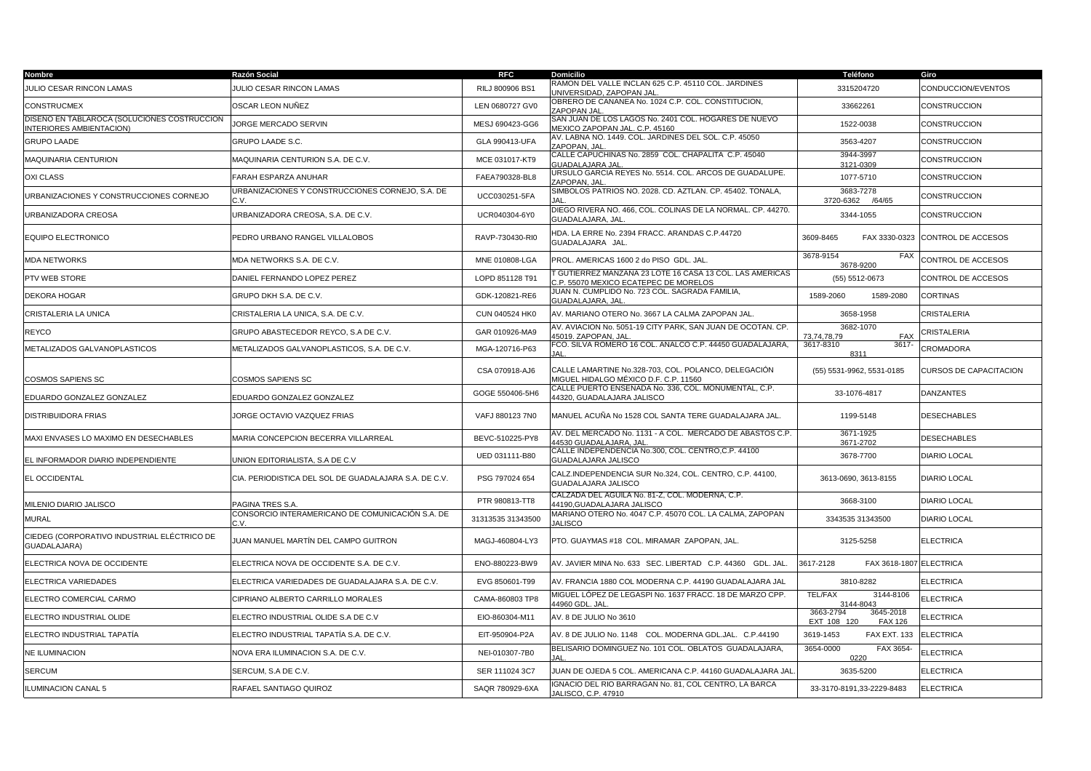| Nombre                                                                  | Razón Social                                             | <b>RFC</b>        | <b>Domicilio</b>                                                                                | Teléfono                                                | Giro                   |
|-------------------------------------------------------------------------|----------------------------------------------------------|-------------------|-------------------------------------------------------------------------------------------------|---------------------------------------------------------|------------------------|
| JULIO CESAR RINCON LAMAS                                                | <b>ULIO CESAR RINCON LAMAS</b>                           | RILJ 800906 BS1   | RAMON DEL VALLE INCLAN 625 C.P. 45110 COL. JARDINES<br>JNIVERSIDAD, ZAPOPAN JAL                 | 3315204720                                              | CONDUCCION/EVENTOS     |
| <b>CONSTRUCMEX</b>                                                      | OSCAR LEON NUÑEZ                                         | LEN 0680727 GV0   | OBRERO DE CANANEA No. 1024 C.P. COL. CONSTITUCION,<br>ZAPOPAN JAL                               | 33662261                                                | CONSTRUCCION           |
| DISEÑO EN TABLAROCA (SOLUCIONES COSTRUCCION<br>INTERIORES AMBIENTACION) | JORGE MERCADO SERVIN                                     | MESJ 690423-GG6   | SAN JUAN DE LOS LAGOS No. 2401 COL. HOGARES DE NUEVO<br><b>MEXICO ZAPOPAN JAL. C.P. 45160</b>   | 1522-0038                                               | CONSTRUCCION           |
| <b>GRUPO LAADE</b>                                                      | <b>GRUPO LAADE S.C.</b>                                  | GLA 990413-UFA    | AV. LABNA NO. 1449. COL. JARDINES DEL SOL. C.P. 45050<br>ZAPOPAN, JAL                           | 3563-4207                                               | CONSTRUCCION           |
| MAQUINARIA CENTURION                                                    | MAQUINARIA CENTURION S.A. DE C.V.                        | MCE 031017-KT9    | CALLE CAPUCHINAS No. 2859 COL. CHAPALITA C.P. 45040<br><b>GUADALAJARA JAL</b>                   | 3944-3997<br>3121-0309                                  | CONSTRUCCION           |
| <b>OXICLASS</b>                                                         | FARAH ESPARZA ANUHAR                                     | FAEA790328-BL8    | URSULO GARCIA REYES No. 5514. COL. ARCOS DE GUADALUPE.<br>ZAPOPAN, JAL                          | 1077-5710                                               | CONSTRUCCION           |
| URBANIZACIONES Y CONSTRUCCIONES CORNEJO                                 | JRBANIZACIONES Y CONSTRUCCIONES CORNEJO, S.A. DE<br>C.V. | UCC030251-5FA     | SIMBOLOS PATRIOS NO. 2028. CD. AZTLAN. CP. 45402. TONALA,                                       | 3683-7278<br>3720-6362 /64/65                           | CONSTRUCCION           |
| URBANIZADORA CREOSA                                                     | JRBANIZADORA CREOSA, S.A. DE C.V.                        | UCR040304-6Y0     | DIEGO RIVERA NO. 466, COL. COLINAS DE LA NORMAL. CP. 44270.<br><b>GUADALAJARA, JAL</b>          | 3344-1055                                               | CONSTRUCCION           |
| EQUIPO ELECTRONICO                                                      | PEDRO URBANO RANGEL VILLALOBOS                           | RAVP-730430-RI0   | IDA. LA ERRE No. 2394 FRACC. ARANDAS C.P.44720<br>GUADALAJARA JAL.                              | 3609-8465<br>FAX 3330-0323                              | CONTROL DE ACCESOS     |
| <b>MDA NETWORKS</b>                                                     | MDA NETWORKS S.A. DE C.V.                                | MNE 010808-LGA    | PROL. AMERICAS 1600 2 do PISO GDL. JAL.                                                         | 3678-9154<br>FAX<br>3678-9200                           | CONTROL DE ACCESOS     |
| PTV WEB STORE                                                           | DANIEL FERNANDO LOPEZ PEREZ                              | LOPD 851128 T91   | GUTIERREZ MANZANA 23 LOTE 16 CASA 13 COL. LAS AMERICAS<br>C.P. 55070 MEXICO ECATEPEC DE MORELOS | (55) 5512-0673                                          | CONTROL DE ACCESOS     |
| <b>DEKORA HOGAR</b>                                                     | GRUPO DKH S.A. DE C.V.                                   | GDK-120821-RE6    | JUAN N. CUMPLIDO No. 723 COL. SAGRADA FAMILIA,<br>GUADALAJARA, JAL                              | 1589-2080<br>1589-2060                                  | <b>CORTINAS</b>        |
| CRISTALERIA LA UNICA                                                    | CRISTALERIA LA UNICA, S.A. DE C.V.                       | CUN 040524 HK0    | AV. MARIANO OTERO No. 3667 LA CALMA ZAPOPAN JAL.                                                | 3658-1958                                               | CRISTALERIA            |
| REYCO                                                                   | GRUPO ABASTECEDOR REYCO, S.A DE C.V.                     | GAR 010926-MA9    | AV. AVIACION No. 5051-19 CITY PARK, SAN JUAN DE OCOTAN. CP.<br><b>15019. ZAPOPAN. JAL</b>       | 3682-1070<br>73.74.78.79<br><b>FAX</b>                  | CRISTALERIA            |
| METALIZADOS GALVANOPLASTICOS                                            | METALIZADOS GALVANOPLASTICOS, S.A. DE C.V.               | MGA-120716-P63    | FCO. SILVA ROMERO 16 COL. ANALCO C.P. 44450 GUADALAJARA,                                        | 3617-8310<br>$3617 -$<br>8311                           | CROMADORA              |
| <b>COSMOS SAPIENS SC</b>                                                | COSMOS SAPIENS SC                                        | CSA 070918-AJ6    | CALLE LAMARTINE No.328-703, COL. POLANCO, DELEGACIÓN<br>MIGUEL HIDALGO MÉXICO D.F. C.P. 11560   | (55) 5531-9962, 5531-0185                               | CURSOS DE CAPACITACION |
| EDUARDO GONZALEZ GONZALEZ                                               | <b>DUARDO GONZALEZ GONZALEZ</b>                          | GOGE 550406-5H6   | CALLE PUERTO ENSENADA No. 336, COL. MONUMENTAL, C.P.<br>44320, GUADALAJARA JALISCO              | 33-1076-4817                                            | DANZANTES              |
| DISTRIBUIDORA FRIAS                                                     | IORGE OCTAVIO VAZQUEZ FRIAS                              | VAFJ 880123 7N0   | MANUEL ACUÑA No 1528 COL SANTA TERE GUADALAJARA JAL.                                            | 1199-5148                                               | DESECHABLES            |
| MAXI ENVASES LO MAXIMO EN DESECHABLES                                   | MARIA CONCEPCION BECERRA VILLARREAL                      | BEVC-510225-PY8   | AV. DEL MERCADO No. 1131 - A COL. MERCADO DE ABASTOS C.P.<br>14530 GUADALAJARA, JAL             | 3671-1925<br>3671-2702                                  | <b>DESECHABLES</b>     |
| EL INFORMADOR DIARIO INDEPENDIENTE                                      | JNION EDITORIALISTA, S.A DE C.V                          | UED 031111-B80    | CALLE INDEPENDENCIA No.300, COL. CENTRO,C.P. 44100<br><b>GUADALAJARA JALISCO</b>                | 3678-7700                                               | <b>DIARIO LOCAL</b>    |
| EL OCCIDENTAL                                                           | CIA. PERIODISTICA DEL SOL DE GUADALAJARA S.A. DE C.V.    | PSG 797024 654    | CALZ.INDEPENDENCIA SUR No.324, COL. CENTRO, C.P. 44100,<br>GUADALAJARA JALISCO                  | 3613-0690, 3613-8155                                    | DIARIO LOCAL           |
| MILENIO DIARIO JALISCO                                                  | PAGINA TRES S.A.                                         | PTR 980813-TT8    | CALZADA DEL AGUILA No. 81-Z, COL. MODERNA, C.P.<br>44190, GUADALAJARA JALISCO                   | 3668-3100                                               | <b>DIARIO LOCAL</b>    |
| <b>MURAL</b>                                                            | CONSORCIO INTERAMERICANO DE COMUNICACIÓN S.A. DE         | 31313535 31343500 | MARIANO OTERO No. 4047 C.P. 45070 COL. LA CALMA, ZAPOPAN<br><b>JALISCO</b>                      | 3343535 31343500                                        | <b>DIARIO LOCAL</b>    |
| CIEDEG (CORPORATIVO INDUSTRIAL ELÉCTRICO DE<br>GUADALAJARA)             | JUAN MANUEL MARTÍN DEL CAMPO GUITRON                     | MAGJ-460804-LY3   | PTO. GUAYMAS #18 COL. MIRAMAR ZAPOPAN, JAL.                                                     | 3125-5258                                               | <b>ELECTRICA</b>       |
| ELECTRICA NOVA DE OCCIDENTE                                             | ELECTRICA NOVA DE OCCIDENTE S.A. DE C.V.                 | ENO-880223-BW9    | AV. JAVIER MINA No. 633 SEC. LIBERTAD C.P. 44360 GDL. JAL.                                      | 3617-2128<br>FAX 3618-1807 ELECTRICA                    |                        |
| ELECTRICA VARIEDADES                                                    | ELECTRICA VARIEDADES DE GUADALAJARA S.A. DE C.V.         | EVG 850601-T99    | AV. FRANCIA 1880 COL MODERNA C.P. 44190 GUADALAJARA JAL                                         | 3810-8282                                               | <b>ELECTRICA</b>       |
| ELECTRO COMERCIAL CARMO                                                 | CIPRIANO ALBERTO CARRILLO MORALES                        | CAMA-860803 TP8   | MIGUEL LÓPEZ DE LEGASPI No. 1637 FRACC. 18 DE MARZO CPP.<br>44960 GDL. JAL                      | <b>TEL/FAX</b><br>3144-8106<br>3144-8043                | <b>ELECTRICA</b>       |
| ELECTRO INDUSTRIAL OLIDE                                                | ELECTRO INDUSTRIAL OLIDE S.A DE C.V                      | EIO-860304-M11    | AV. 8 DE JULIO No 3610                                                                          | 3663-2794<br>3645-2018<br>EXT 108 120<br><b>FAX 126</b> | <b>ELECTRICA</b>       |
| ELECTRO INDUSTRIAL TAPATIA                                              | ELECTRO INDUSTRIAL TAPATÍA S.A. DE C.V.                  | EIT-950904-P2A    | AV. 8 DE JULIO No. 1148 COL. MODERNA GDL.JAL. C.P.44190                                         | 3619-1453<br><b>FAX EXT. 133</b>                        | <b>ELECTRICA</b>       |
| NE ILUMINACION                                                          | NOVA ERA ILUMINACION S.A. DE C.V.                        | NEI-010307-7B0    | BELISARIO DOMINGUEZ No. 101 COL. OBLATOS GUADALAJARA,                                           | 3654-0000<br>FAX 3654-<br>0220                          | <b>ELECTRICA</b>       |
| <b>SERCUM</b>                                                           | SERCUM, S.A DE C.V.                                      | SER 111024 3C7    | JUAN DE OJEDA 5 COL. AMERICANA C.P. 44160 GUADALAJARA JAL                                       | 3635-5200                                               | <b>ELECTRICA</b>       |
| <b>ILUMINACION CANAL 5</b>                                              | RAFAEL SANTIAGO QUIROZ                                   | SAQR 780929-6XA   | GNACIO DEL RIO BARRAGAN No. 81, COL CENTRO, LA BARCA<br>JALISCO, C.P. 47910                     | 33-3170-8191,33-2229-8483                               | <b>ELECTRICA</b>       |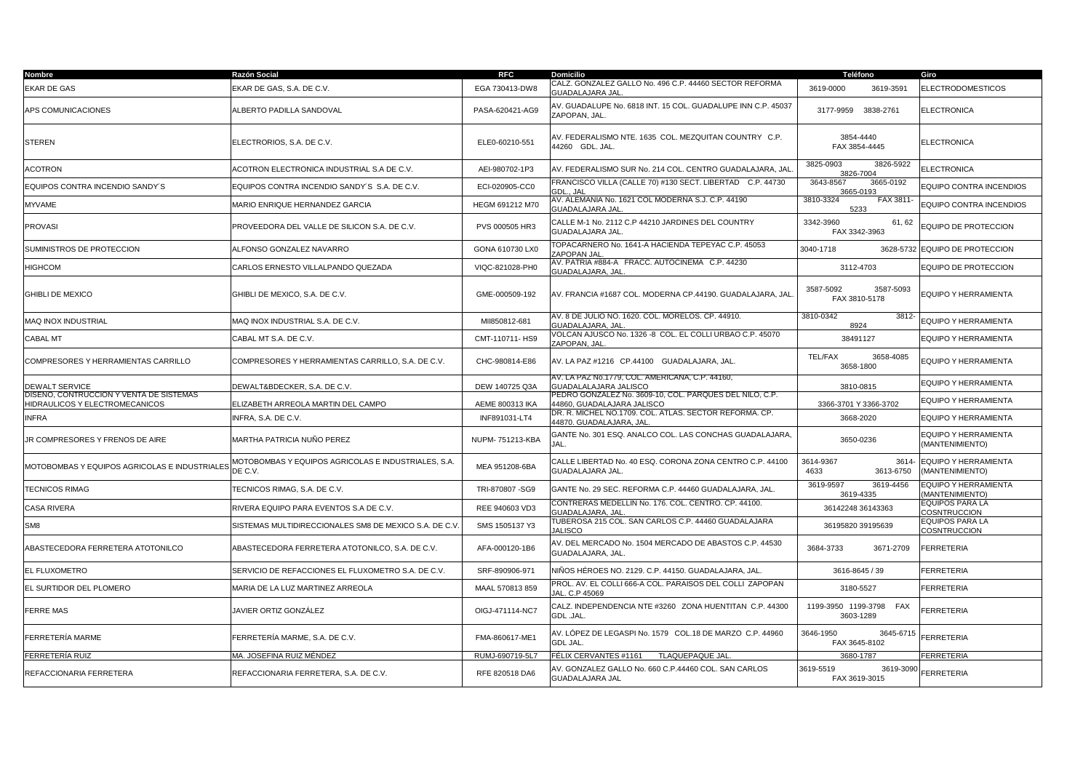| Nombre                                                                    | Razón Social                                                   | <b>RFC</b>       | <b>Domicilio</b>                                                                      | Teléfono                                | Giro                                           |
|---------------------------------------------------------------------------|----------------------------------------------------------------|------------------|---------------------------------------------------------------------------------------|-----------------------------------------|------------------------------------------------|
| EKAR DE GAS                                                               | EKAR DE GAS, S.A. DE C.V.                                      | EGA 730413-DW8   | CALZ. GONZALEZ GALLO No. 496 C.P. 44460 SECTOR REFORMA<br>GUADALAJARA JAL.            | 3619-0000<br>3619-3591                  | <b>ELECTRODOMESTICOS</b>                       |
| APS COMUNICACIONES                                                        | ALBERTO PADILLA SANDOVAL                                       | PASA-620421-AG9  | AV. GUADALUPE No. 6818 INT. 15 COL. GUADALUPE INN C.P. 45037<br>ZAPOPAN, JAL.         | 3177-9959 3838-2761                     | ELECTRONICA                                    |
| <b>STEREN</b>                                                             | ELECTRORIOS, S.A. DE C.V.                                      | ELE0-60210-551   | AV. FEDERALISMO NTE. 1635 COL. MEZQUITAN COUNTRY C.P.<br>44260 GDL. JAL.              | 3854-4440<br>FAX 3854-4445              | ELECTRONICA                                    |
| ACOTRON                                                                   | ACOTRON ELECTRONICA INDUSTRIAL S.A DE C.V.                     | AEI-980702-1P3   | AV. FEDERALISMO SUR No. 214 COL. CENTRO GUADALAJARA, JAL                              | 3825-0903<br>3826-5922<br>3826-7004     | <b>ELECTRONICA</b>                             |
| EQUIPOS CONTRA INCENDIO SANDY'S                                           | EQUIPOS CONTRA INCENDIO SANDY'S S.A. DE C.V.                   | ECI-020905-CC0   | FRANCISCO VILLA (CALLE 70) #130 SECT. LIBERTAD C.P. 44730<br>GDL JAL                  | 3643-8567<br>3665-0192<br>3665-0193     | EQUIPO CONTRA INCENDIOS                        |
| MYVAME                                                                    | MARIO ENRIQUE HERNANDEZ GARCIA                                 | HEGM 691212 M70  | AV. ALEMANIA No. 1621 COL MODERNA S.J. C.P. 44190<br>GUADALAJARA JAL                  | 3810-3324<br>FAX 3811<br>5233           | EQUIPO CONTRA INCENDIOS                        |
| PROVASI                                                                   | PROVEEDORA DEL VALLE DE SILICON S.A. DE C.V.                   | PVS 000505 HR3   | CALLE M-1 No. 2112 C.P 44210 JARDINES DEL COUNTRY<br>GUADALAJARA JAL.                 | 3342-3960<br>61, 62<br>FAX 3342-3963    | EQUIPO DE PROTECCION                           |
| SUMINISTROS DE PROTECCION                                                 | ALFONSO GONZALEZ NAVARRO                                       | GONA 610730 LX0  | TOPACARNERO No. 1641-A HACIENDA TEPEYAC C.P. 45053<br>ZAPOPAN JAL                     | 3040-1718<br>3628-5732                  | EQUIPO DE PROTECCION                           |
| HIGHCOM                                                                   | CARLOS ERNESTO VILLALPANDO QUEZADA                             | VIQC-821028-PH0  | AV. PATRIA #884-A FRACC. AUTOCINEMA C.P. 44230<br><b>GUADALAJARA, JAL</b>             | 3112-4703                               | EQUIPO DE PROTECCION                           |
| <b>GHIBLI DE MEXICO</b>                                                   | GHIBLI DE MEXICO, S.A. DE C.V.                                 | GME-000509-192   | AV. FRANCIA #1687 COL. MODERNA CP.44190. GUADALAJARA, JAL                             | 3587-5092<br>3587-5093<br>FAX 3810-5178 | EQUIPO Y HERRAMIENTA                           |
| MAQ INOX INDUSTRIAL                                                       | MAQ INOX INDUSTRIAL S.A. DE C.V.                               | MII850812-681    | AV. 8 DE JULIO NO. 1620. COL. MORELOS. CP. 44910.<br>GUADALAJARA, JAL                 | 3810-0342<br>3812<br>8924               | <b>EQUIPO Y HERRAMIENTA</b>                    |
| CABAL MT                                                                  | CABAL MT S.A. DE C.V.                                          | CMT-110711-HS9   | VOLCAN AJUSCO No. 1326 -8 COL. EL COLLI URBAO C.P. 45070<br>ZAPOPAN, JAL              | 38491127                                | EQUIPO Y HERRAMIENTA                           |
| COMPRESORES Y HERRAMIENTAS CARRILLO                                       | COMPRESORES Y HERRAMIENTAS CARRILLO, S.A. DE C.V.              | CHC-980814-E86   | AV. LA PAZ #1216 CP.44100 GUADALAJARA, JAL.                                           | TEL/FAX<br>3658-4085<br>3658-1800       | EQUIPO Y HERRAMIENTA                           |
| <b>DEWALT SERVICE</b>                                                     | DEWALT&BDECKER, S.A. DE C.V.                                   | DEW 140725 Q3A   | AV. LA PAZ No.1779, COL. AMERICANA, C.P. 44160,<br>GUADALALAJARA JALISCO              | 3810-0815                               | EQUIPO Y HERRAMIENTA                           |
| DISENO. CONTRUCCION Y VENTA DE SISTEMAS<br>HIDRAULICOS Y ELECTROMECANICOS | ELIZABETH ARREOLA MARTIN DEL CAMPO                             | AEME 800313 IKA  | PEDRO GONZALEZ No. 3609-10, COL. PARQUES DEL NILO, C.P.<br>44860, GUADALAJARA JALISCO | 3366-3701 Y 3366-3702                   | EQUIPO Y HERRAMIENTA                           |
| <b>INFRA</b>                                                              | NFRA. S.A. DE C.V.                                             | INF891031-LT4    | DR. R. MICHEL NO.1709. COL. ATLAS. SECTOR REFORMA. CP.<br>14870. GUADALAJARA. JAL     | 3668-2020                               | <b>EQUIPO Y HERRAMIENTA</b>                    |
| JR COMPRESORES Y FRENOS DE AIRE                                           | MARTHA PATRICIA NUÑO PEREZ                                     | NUPM- 751213-KBA | GANTE No. 301 ESQ. ANALCO COL. LAS CONCHAS GUADALAJARA,<br>JAL.                       | 3650-0236                               | EQUIPO Y HERRAMIENTA<br>(MANTENIMIENTO)        |
| MOTOBOMBAS Y EQUIPOS AGRICOLAS E INDUSTRIALES                             | MOTOBOMBAS Y EQUIPOS AGRICOLAS E INDUSTRIALES, S.A.<br>DE C.V. | MEA 951208-6BA   | CALLE LIBERTAD No. 40 ESQ. CORONA ZONA CENTRO C.P. 44100<br>GUADALAJARA JAL.          | 3614-9367<br>3614-<br>4633<br>3613-6750 | EQUIPO Y HERRAMIENTA<br>(MANTENIMIENTO)        |
| <b>TECNICOS RIMAG</b>                                                     | TECNICOS RIMAG, S.A. DE C.V.                                   | TRI-870807 - SG9 | GANTE No. 29 SEC. REFORMA C.P. 44460 GUADALAJARA, JAL.                                | 3619-9597<br>3619-4456<br>3619-4335     | <b>EQUIPO Y HERRAMIENTA</b><br>(MANTENIMIENTO) |
| CASA RIVERA                                                               | RIVERA EQUIPO PARA EVENTOS S.A DE C.V.                         | REE 940603 VD3   | CONTRERAS MEDELLIN No. 176. COL. CENTRO. CP. 44100.<br><b>GUADALAJARA, JAL</b>        | 36142248 36143363                       | EQUIPOS PARA LA<br>COSNTRUCCION                |
| SM <sub>8</sub>                                                           | SISTEMAS MULTIDIRECCIONALES SM8 DE MEXICO S.A. DE C.V.         | SMS 1505137 Y3   | TUBEROSA 215 COL. SAN CARLOS C.P. 44460 GUADALAJARA<br><b>JALISCO</b>                 | 36195820 39195639                       | EQUIPOS PARA LA<br>COSNTRUCCION                |
| ABASTECEDORA FERRETERA ATOTONILCO                                         | ABASTECEDORA FERRETERA ATOTONILCO, S.A. DE C.V.                | AFA-000120-1B6   | AV. DEL MERCADO No. 1504 MERCADO DE ABASTOS C.P. 44530<br>GUADALAJARA, JAL            | 3684-3733<br>3671-2709                  | FERRETERIA                                     |
| EL FLUXOMETRO                                                             | SERVICIO DE REFACCIONES EL FLUXOMETRO S.A. DE C.V.             | SRF-890906-971   | NIÑOS HÉROES NO. 2129. C.P. 44150. GUADALAJARA, JAL.                                  | 3616-8645 / 39                          | <b>FERRETERIA</b>                              |
| EL SURTIDOR DEL PLOMERO                                                   | <b>MARIA DE LA LUZ MARTINEZ ARREOLA</b>                        | MAAL 570813 859  | PROL. AV. EL COLLI 666-A COL. PARAISOS DEL COLLI ZAPOPAN<br>JAL. C.P 45069            | 3180-5527                               | FERRETERIA                                     |
| FERRE MAS                                                                 | JAVIER ORTIZ GONZÁLEZ                                          | OIGJ-471114-NC7  | CALZ. INDEPENDENCIA NTE #3260 ZONA HUENTITAN C.P. 44300<br>GDL .JAL.                  | 1199-3950 1199-3798<br>FAX<br>3603-1289 | FERRETERIA                                     |
| FERRETERÍA MARME                                                          | FERRETERÍA MARME, S.A. DE C.V.                                 | FMA-860617-ME1   | AV. LÓPEZ DE LEGASPI No. 1579   COL.18 DE MARZO  C.P. 44960<br>GDL JAL.               | 3646-1950<br>3645-6715<br>FAX 3645-8102 | FERRETERIA                                     |
| FERRETERÍA RUIZ                                                           | MA. JOSEFINA RUIZ MÉNDEZ                                       | RUMJ-690719-5L7  | FÉLIX CERVANTES #1161<br><b>TLAQUEPAQUE JAL</b>                                       | 3680-1787                               | FERRETERIA                                     |
| REFACCIONARIA FERRETERA                                                   | REFACCIONARIA FERRETERA, S.A. DE C.V.                          | RFE 820518 DA6   | AV. GONZALEZ GALLO No. 660 C.P.44460 COL. SAN CARLOS<br>GUADALAJARA JAL               | 3619-5519<br>3619-3090<br>FAX 3619-3015 | FERRETERIA                                     |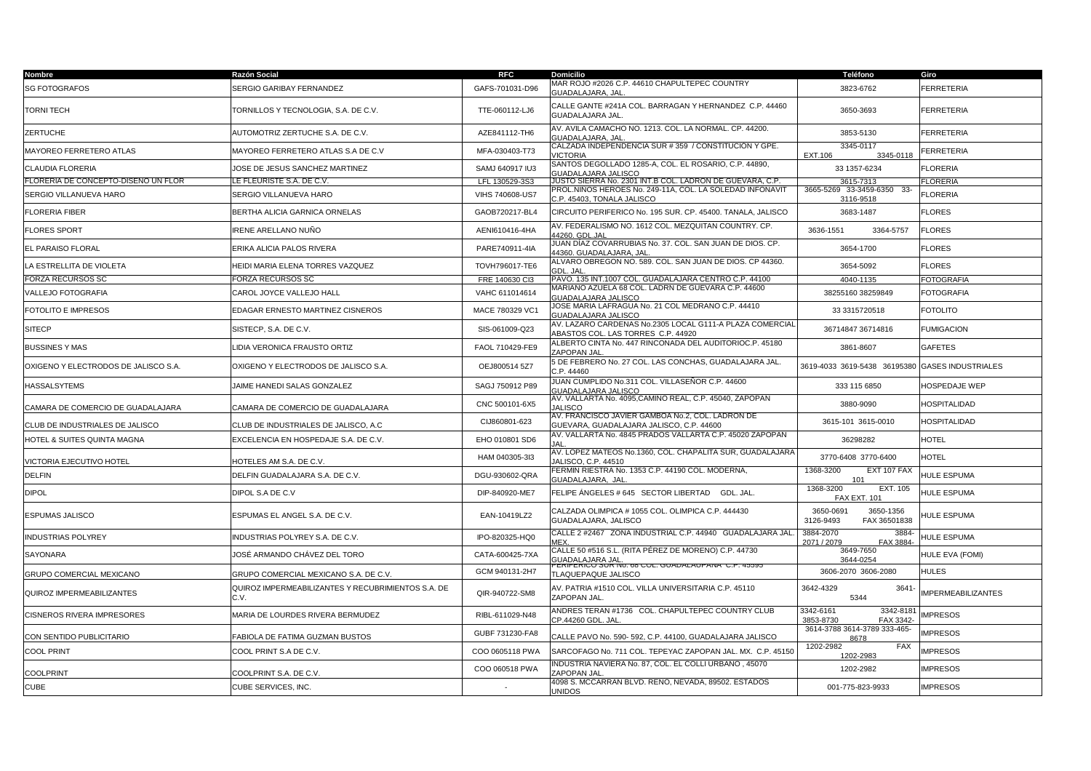| <b>Nombre</b>                        | Razón Social                                               | RFC                      | <b>Domicilio</b>                                                                                                                     | Teléfono                                            | Giro                      |
|--------------------------------------|------------------------------------------------------------|--------------------------|--------------------------------------------------------------------------------------------------------------------------------------|-----------------------------------------------------|---------------------------|
| <b>SG FOTOGRAFOS</b>                 | SERGIO GARIBAY FERNANDEZ                                   | GAFS-701031-D96          | MAR ROJO #2026 C.P. 44610 CHAPULTEPEC COUNTRY<br><b>GUADALAJARA, JAL</b>                                                             | 3823-6762                                           | <b>FERRETERIA</b>         |
| <b>TORNI TECH</b>                    | TORNILLOS Y TECNOLOGIA, S.A. DE C.V.                       | TTE-060112-LJ6           | CALLE GANTE #241A COL. BARRAGAN Y HERNANDEZ C.P. 44460<br>GUADALAJARA JAL.                                                           | 3650-3693                                           | <b>FERRETERIA</b>         |
| ZERTUCHE                             | AUTOMOTRIZ ZERTUCHE S.A. DE C.V.                           | AZE841112-TH6            | AV. AVILA CAMACHO NO. 1213. COL. LA NORMAL. CP. 44200.<br><b>GUADALAJARA, JAL</b>                                                    | 3853-5130                                           | <b>FERRETERIA</b>         |
| MAYOREO FERRETERO ATLAS              | MAYOREO FERRETERO ATLAS S.A DE C.V                         | MFA-030403-T73           | CALZADA INDEPENDENCIA SUR # 359 / CONSTITUCIÓN Y GPE.<br><b>VICTORIA</b>                                                             | 3345-0117<br>EXT.106<br>3345-0118                   | FERRETERIA                |
| CLAUDIA FLORERIA                     | JOSE DE JESUS SANCHEZ MARTINEZ                             | SAMJ 640917 IU3          | SANTOS DEGOLLADO 1285-A, COL. EL ROSARIO, C.P. 44890,<br><b>GUADALAJARA JALISCO</b>                                                  | 33 1357-6234                                        | <b>FLORERIA</b>           |
| FLORERIA DE CONCEPTO-DISENO UN FLOR  | LE FLEURISTE S.A. DE C.V.                                  | LFL 130529-3S3           | JUSTO SIERRA No. 2301 INT.B COL. LADRON DE GUEVARA, C.P.                                                                             | 3615-7313                                           | <b>FLORERIA</b>           |
| SERGIO VILLANUEVA HARO               | SERGIO VILLANUEVA HARO                                     | VIHS 740608-US7          | PROL.NIÑOS HEROES No. 249-11A, COL. LA SOLEDAD INFONAVIT<br>C.P. 45403, TONALA JALISCO                                               | 3665-5269 33-3459-6350 33-<br>3116-9518             | <b>FLORERIA</b>           |
| <b>FLORERIA FIBER</b>                | BERTHA ALICIA GARNICA ORNELAS                              | GAOB720217-BL4           | CIRCUITO PERIFERICO No. 195 SUR. CP. 45400. TANALA, JALISCO                                                                          | 3683-1487                                           | <b>FLORES</b>             |
| <b>FLORES SPORT</b>                  | IRENE ARELLANO NUÑO                                        | AENI610416-4HA           | AV. FEDERALISMO NO. 1612 COL. MEZQUITAN COUNTRY. CP.<br>14260. GDL.JAI                                                               | 3636-1551<br>3364-5757                              | <b>FLORES</b>             |
| EL PARAISO FLORAL                    | ERIKA ALICIA PALOS RIVERA                                  | PARE740911-4IA           | JUAN DÍAZ COVARRUBIAS No. 37. COL. SAN JUAN DE DIOS. CP.<br>14360. GUADALAJARA. JAI                                                  | 3654-1700                                           | <b>FLORES</b>             |
| LA ESTRELLITA DE VIOLETA             | HEIDI MARIA ELENA TORRES VAZQUEZ                           | TOVH796017-TE6           | ALVARO OBREGON NO. 589. COL. SAN JUAN DE DIOS. CP 44360.<br><b>GDL, JAL</b>                                                          | 3654-5092                                           | <b>FLORES</b>             |
| <b>FORZA RECURSOS SC</b>             | FORZA RECURSOS SC                                          | FRE 140630 Cl3           | PAVO. 135 INT.1007 COL. GUADALAJARA CENTRO C.P. 44100                                                                                | 4040-1135                                           | <b>FOTOGRAFIA</b>         |
| VALLEJO FOTOGRAFIA                   | CAROL JOYCE VALLEJO HALL                                   | VAHC 611014614           | MARIANO AZUELA 68 COL. LADRN DE GUEVARA C.P. 44600<br><b>GUADALAJARA JALISCO</b>                                                     | 38255160 38259849                                   | <b>FOTOGRAFIA</b>         |
| FOTOLITO E IMPRESOS                  | EDAGAR ERNESTO MARTINEZ CISNEROS                           | MACE 780329 VC1          | JOSE MARIA LAFRAGUA No. 21 COL MEDRANO C.P. 44410<br>GUADALAJARA JALISCO                                                             | 33 3315720518                                       | <b>FOTOLITO</b>           |
| <b>SITECP</b>                        | SISTECP, S.A. DE C.V.                                      | SIS-061009-Q23           | AV. LAZARO CARDENAS No.2305 LOCAL G111-A PLAZA COMERCIAL<br>ABASTOS COL. LAS TORRES C.P. 44920                                       | 36714847 36714816                                   | <b>FUMIGACION</b>         |
| <b>BUSSINES Y MAS</b>                | <b>LIDIA VERONICA FRAUSTO ORTIZ</b>                        | FAOL 710429-FE9          | ALBERTO CINTA No. 447 RINCONADA DEL AUDITORIOC.P. 45180<br>ZAPOPAN JAL                                                               | 3861-8607                                           | <b>GAFETES</b>            |
| OXIGENO Y ELECTRODOS DE JALISCO S.A. | OXIGENO Y ELECTRODOS DE JALISCO S.A.                       | OEJ800514 5Z7            | 5 DE FEBRERO No. 27 COL. LAS CONCHAS, GUADALAJARA JAL.<br>C.P. 44460                                                                 | 3619-4033 3619-5438 36195380 GASES INDUSTRIALES     |                           |
| <b>HASSALSYTEMS</b>                  | JAIME HANEDI SALAS GONZALEZ                                | SAGJ 750912 P89          | JUAN CUMPLIDO No.311 COL. VILLASEÑOR C.P. 44600<br><b>GUADALAJARA JALISCO</b>                                                        | 333 115 6850                                        | HOSPEDAJE WEP             |
| CAMARA DE COMERCIO DE GUADALAJARA    | CAMARA DE COMERCIO DE GUADALAJARA                          | CNC 500101-6X5           | AV. VALLARTA No. 4095,CAMINO REAL, C.P. 45040, ZAPOPAN<br><b>JALISCO</b>                                                             | 3880-9090                                           | <b>HOSPITALIDAD</b>       |
| CLUB DE INDUSTRIALES DE JALISCO      | CLUB DE INDUSTRIALES DE JALISCO, A.C                       | CIJ860801-623            | AV. FRANCISCO JAVIER GAMBOA No.2. COL. LADRON DE<br>GUEVARA, GUADALAJARA JALISCO, C.P. 44600                                         | 3615-101 3615-0010                                  | HOSPITALIDAD              |
| HOTEL & SUITES QUINTA MAGNA          | EXCELENCIA EN HOSPEDAJE S.A. DE C.V.                       | EHO 010801 SD6           | AV. VALLARTA No. 4845 PRADOS VALLARTA C.P. 45020 ZAPOPAN                                                                             | 36298282                                            | <b>HOTEL</b>              |
| VICTORIA EJECUTIVO HOTEL             | HOTELES AM S.A. DE C.V.                                    | HAM 040305-3I3           | AV. LOPEZ MATEOS No.1360, COL. CHAPALITA SUR, GUADALAJARA<br>JALISCO, C.P. 44510                                                     | 3770-6408 3770-6400                                 | <b>HOTEL</b>              |
| <b>DELFIN</b>                        | DELFIN GUADALAJARA S.A. DE C.V.                            | DGU-930602-QRA           | FERMIN RIESTRA No. 1353 C.P. 44190 COL. MODERNA,<br><b>GUADALAJARA, JAL</b>                                                          | 1368-3200<br>EXT 107 FAX<br>101                     | HULE ESPUMA               |
| <b>DIPOL</b>                         | DIPOL S.A DE C.V                                           | DIP-840920-ME7           | FELIPE ÁNGELES # 645 SECTOR LIBERTAD GDL. JAL.                                                                                       | EXT. 105<br>1368-3200<br><b>FAX EXT. 101</b>        | <b>HULE ESPUMA</b>        |
| ESPUMAS JALISCO                      | ESPUMAS EL ANGEL S.A. DE C.V.                              | EAN-10419LZ2             | CALZADA OLIMPICA # 1055 COL. OLIMPICA C.P. 444430<br>GUADALAJARA, JALISCO                                                            | 3650-0691<br>3650-1356<br>3126-9493<br>FAX 36501838 | HULE ESPUMA               |
| <b>INDUSTRIAS POLYREY</b>            | INDUSTRIAS POLYREY S.A. DE C.V.                            | IPO-820325-HQ0           | CALLE 2 #2467 ZONA INDUSTRIAL C.P. 44940 GUADALAJARA JAL.<br>MEX.                                                                    | 3884-2070<br>3884<br>2071 / 2079<br>FAX 3884        | HULE ESPUMA               |
| SAYONARA                             | JOSÉ ARMANDO CHÁVEZ DEL TORO                               | CATA-600425-7XA          | CALLE 50 #516 S.L. (RITA PËREZ DE MORENO) C.P. 44730<br>.<br>GUADALAJARA JAL.<br>PERIFERICO SUR NO. 68 COL. GUADALAUPANA  C.P. 45595 | 3649-7650<br>3644-0254                              | HULE EVA (FOMI)           |
| GRUPO COMERCIAL MEXICANO             | GRUPO COMERCIAL MEXICANO S.A. DE C.V.                      | GCM 940131-2H7           | TLAQUEPAQUE JALISCO                                                                                                                  | 3606-2070 3606-2080                                 | <b>HULES</b>              |
| QUIROZ IMPERMEABILIZANTES            | QUIROZ IMPERMEABILIZANTES Y RECUBRIMIENTOS S.A. DE<br>C.V. | QIR-940722-SM8           | AV. PATRIA #1510 COL. VILLA UNIVERSITARIA C.P. 45110<br>ZAPOPAN JAL.                                                                 | 3642-4329<br>$3641 -$<br>5344                       | <b>IMPERMEABILIZANTES</b> |
| <b>CISNEROS RIVERA IMPRESORES</b>    | MARIA DE LOURDES RIVERA BERMUDEZ                           | RIBL-611029-N48          | ANDRES TERAN #1736 COL. CHAPULTEPEC COUNTRY CLUB<br>CP.44260 GDL. JAL                                                                | 3342-8181<br>3342-6161<br>3853-8730<br>FAX 3342     | <b>IMPRESOS</b>           |
| CON SENTIDO PUBLICITARIO             | FABIOLA DE FATIMA GUZMAN BUSTOS                            | GUBF 731230-FA8          | CALLE PAVO No. 590- 592, C.P. 44100, GUADALAJARA JALISCO                                                                             | 3614-3788 3614-3789 333-465-<br>8678                | <b>IMPRESOS</b>           |
| <b>COOL PRINT</b>                    | COOL PRINT S.A DE C.V.                                     | COO 0605118 PWA          | SARCOFAGO No. 711 COL. TEPEYAC ZAPOPAN JAL. MX. C.P. 45150                                                                           | 1202-2982<br>FAX<br>1202-2983                       | <b>IMPRESOS</b>           |
| <b>COOLPRINT</b>                     | COOLPRINT S.A. DE C.V.                                     | COO 060518 PWA           | NDUSTRIA NAVIERA No. 87, COL. EL COLLI URBANO , 45070<br>ZAPOPAN JAL                                                                 | 1202-2982                                           | <b>IMPRESOS</b>           |
| <b>CUBE</b>                          | CUBE SERVICES, INC.                                        | $\overline{\phantom{a}}$ | 4098 S. MCCARRAN BLVD. RENO, NEVADA, 89502. ESTADOS<br>UNIDOS                                                                        | 001-775-823-9933                                    | <b>IMPRESOS</b>           |
|                                      |                                                            |                          |                                                                                                                                      |                                                     |                           |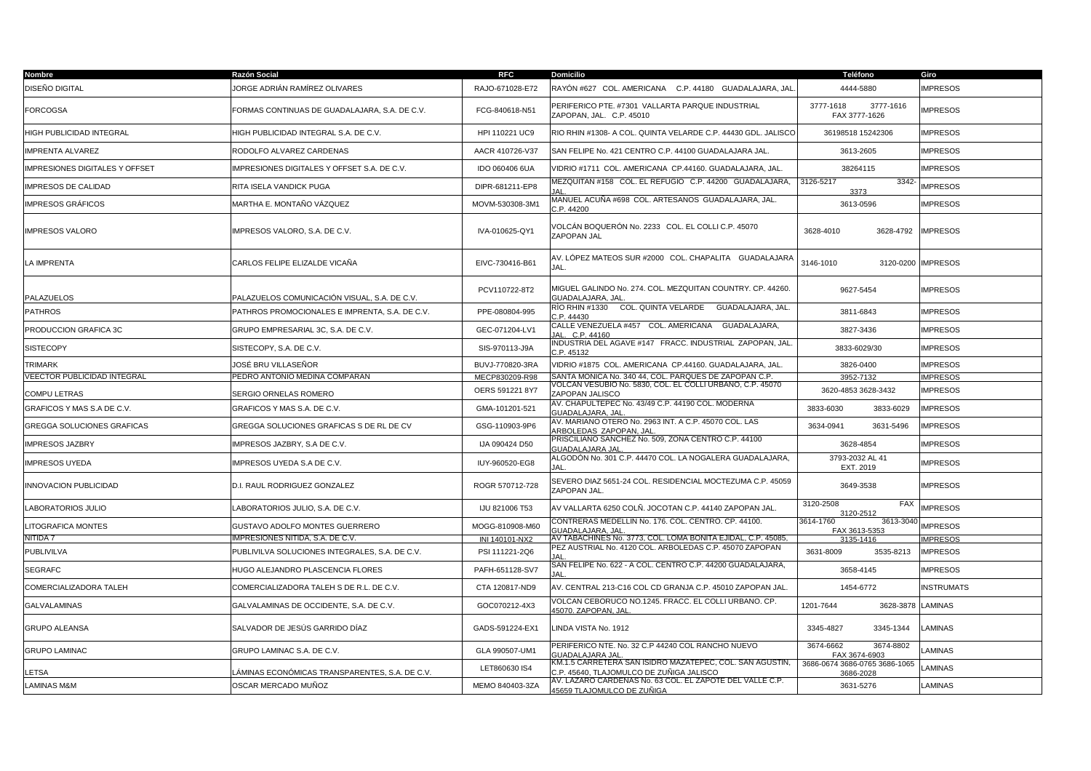| Nombre                                | Razón Social                                   | <b>RFC</b>      | <b>Domicilio</b>                                                                                    | <b>Teléfono</b>                            | Giro               |
|---------------------------------------|------------------------------------------------|-----------------|-----------------------------------------------------------------------------------------------------|--------------------------------------------|--------------------|
| DISEÑO DIGITAL                        | IORGE ADRIÁN RAMÍREZ OLIVARES                  | RAJO-671028-E72 | RAYÓN #627 COL. AMERICANA - C.P. 44180 - GUADALAJARA, JAL                                           | 4444-5880                                  | <b>MPRESOS</b>     |
| <b>FORCOGSA</b>                       | FORMAS CONTINUAS DE GUADALAJARA, S.A. DE C.V.  | FCG-840618-N51  | PERIFERICO PTE. #7301 VALLARTA PARQUE INDUSTRIAL<br>ZAPOPAN, JAL. C.P. 45010                        | 3777-1618<br>3777-1616<br>FAX 3777-1626    | <b>MPRESOS</b>     |
| HIGH PUBLICIDAD INTEGRAL              | HIGH PUBLICIDAD INTEGRAL S.A. DE C.V.          | HPI 110221 UC9  | RIO RHIN #1308- A COL. QUINTA VELARDE C.P. 44430 GDL. JALISCO                                       | 36198518 15242306                          | <b>IMPRESOS</b>    |
| <b>IMPRENTA ALVAREZ</b>               | RODOLFO ALVAREZ CARDENAS                       | AACR 410726-V37 | SAN FELIPE No. 421 CENTRO C.P. 44100 GUADALAJARA JAL.                                               | 3613-2605                                  | <b>IMPRESOS</b>    |
| <b>IMPRESIONES DIGITALES Y OFFSET</b> | IMPRESIONES DIGITALES Y OFFSET S.A. DE C.V.    | IDO 060406 6UA  | VIDRIO #1711 COL. AMERICANA CP.44160. GUADALAJARA, JAL.                                             | 38264115                                   | <b>IMPRESOS</b>    |
| <b>IMPRESOS DE CALIDAD</b>            | RITA ISELA VANDICK PUGA                        | DIPR-681211-EP8 | MEZQUITAN #158 COL. EL REFUGIO C.P. 44200 GUADALAJARA,                                              | 3126-5217<br>3342-<br>3373                 | <b>MPRESOS</b>     |
| IMPRESOS GRÁFICOS                     | MARTHA E. MONTAÑO VÁZQUEZ                      | MOVM-530308-3M1 | MANUEL ACUÑA #698 COL. ARTESANOS GUADALAJARA, JAL.<br>C.P.44200                                     | 3613-0596                                  | <b>MPRESOS</b>     |
| <b>IMPRESOS VALORO</b>                | IMPRESOS VALORO, S.A. DE C.V.                  | IVA-010625-QY1  | VOLCÁN BOQUERÓN No. 2233   COL. EL COLLI C.P. 45070<br>ZAPOPAN JAL                                  | 3628-4010<br>3628-4792                     | <b>IMPRESOS</b>    |
| LA IMPRENTA                           | CARLOS FELIPE ELIZALDE VICAÑA                  | EIVC-730416-B61 | AV. LÓPEZ MATEOS SUR #2000 COL. CHAPALITA GUADALAJARA<br>JAL.                                       | 3146-1010                                  | 3120-0200 IMPRESOS |
| PALAZUELOS                            | PALAZUELOS COMUNICACIÓN VISUAL, S.A. DE C.V.   | PCV110722-8T2   | MIGUEL GALINDO No. 274. COL. MEZQUITAN COUNTRY. CP. 44260.<br>GUADALAJARA, JAL                      | 9627-5454                                  | <b>MPRESOS</b>     |
| <b>PATHROS</b>                        | PATHROS PROMOCIONALES E IMPRENTA, S.A. DE C.V. | PPE-080804-995  | RÌO RHIN #1330      COL. QUINTA VELARDE      GUADALAJARA, JAL.<br>C.P.44430                         | 3811-6843                                  | <b>IMPRESOS</b>    |
| PRODUCCION GRAFICA 3C                 | GRUPO EMPRESARIAL 3C, S.A. DE C.V.             | GEC-071204-LV1  | CALLE VENEZUELA #457 COL. AMERICANA GUADALAJARA,<br>JAL. C.P. 44160                                 | 3827-3436                                  | <b>IMPRESOS</b>    |
| <b>SISTECOPY</b>                      | SISTECOPY, S.A. DE C.V.                        | SIS-970113-J9A  | INDUSTRIA DEL AGAVE #147 FRACC. INDUSTRIAL ZAPOPAN, JAL.<br>C.P.45132                               | 3833-6029/30                               | <b>MPRESOS</b>     |
| <b>TRIMARK</b>                        | JOSÉ BRU VILLASEÑOR                            | BUVJ-770820-3RA | VIDRIO #1875 COL. AMERICANA CP.44160. GUADALAJARA, JAL.                                             | 3826-0400                                  | <b>MPRESOS</b>     |
| <b>VEECTOR PUBLICIDAD INTEGRAL</b>    | PEDRO ANTONIO MEDINA COMPARAN                  | MECP830209-R98  | SANTA MONICA No. 340 44, COL. PARQUES DE ZAPOPAN C.P.                                               | 3952-7132                                  | <b>IMPRESOS</b>    |
| COMPU LETRAS                          | SERGIO ORNELAS ROMERO                          | OERS 591221 8Y7 | VOLCAN VESUBIO No. 5830, COL. EL COLLI URBANO, C.P. 45070<br>ZAPOPAN JALISCO                        | 3620-4853 3628-3432                        | <b>IMPRESOS</b>    |
| GRAFICOS Y MAS S.A DE C.V.            | GRAFICOS Y MAS S.A. DE C.V.                    | GMA-101201-521  | AV. CHAPULTEPEC No. 43/49 C.P. 44190 COL. MODERNA<br><b>GUADALAJARA, JAL</b>                        | 3833-6030<br>3833-6029                     | <b>IMPRESOS</b>    |
| GREGGA SOLUCIONES GRAFICAS            | GREGGA SOLUCIONES GRAFICAS S DE RL DE CV       | GSG-110903-9P6  | AV. MARIANO OTERO No. 2963 INT. A C.P. 45070 COL. LAS<br>ARBOLEDAS ZAPOPAN, JAL                     | 3634-0941<br>3631-5496                     | <b>IMPRESOS</b>    |
| <b>IMPRESOS JAZBRY</b>                | IMPRESOS JAZBRY, S.A DE C.V.                   | IJA 090424 D50  | PRISCILIANO SANCHEZ No. 509, ZONA CENTRO C.P. 44100<br>GUADALAJARA JAL                              | 3628-4854                                  | <b>MPRESOS</b>     |
| <b>IMPRESOS UYEDA</b>                 | IMPRESOS UYEDA S.A DE C.V.                     | IUY-960520-EG8  | ALGODÓN No. 301 C.P. 44470 COL. LA NOGALERA GUADALAJARA,<br><b>JAL</b>                              | 3793-2032 AL 41<br>EXT. 2019               | <b>IMPRESOS</b>    |
| <b>INNOVACION PUBLICIDAD</b>          | D.I. RAUL RODRIGUEZ GONZALEZ                   | ROGR 570712-728 | SEVERO DIAZ 5651-24 COL. RESIDENCIAL MOCTEZUMA C.P. 45059<br>ZAPOPAN JAL                            | 3649-3538                                  | <b>MPRESOS</b>     |
| LABORATORIOS JULIO                    | ABORATORIOS JULIO, S.A. DE C.V.                | IJU 821006 T53  | AV VALLARTA 6250 COLÑ. JOCOTAN C.P. 44140 ZAPOPAN JAL.                                              | 3120-2508<br><b>FAX</b><br>3120-2512       | <b>IMPRESOS</b>    |
| <b>LITOGRAFICA MONTES</b>             | GUSTAVO ADOLFO MONTES GUERRERO                 | MOGG-810908-M60 | CONTRERAS MEDELLIN No. 176. COL. CENTRO. CP. 44100.<br><b>JUADALAJARA, JAI</b>                      | 3614-1760<br>3613-3040<br>FAX 3613-5353    | <b>IMPRESOS</b>    |
| NITIDA 7                              | IMPRESIONES NITIDA, S.A. DE C.V.               | INI 140101-NX2  | AV TABACHINES No. 3773, COL. LOMA BONITA EJIDAL, C.P. 45085,                                        | 3135-1416                                  | <b>IMPRESOS</b>    |
| PUBLIVILVA                            | PUBLIVILVA SOLUCIONES INTEGRALES, S.A. DE C.V. | PSI 111221-2Q6  | PEZ AUSTRIAL No. 4120 COL. ARBOLEDAS C.P. 45070 ZAPOPAN                                             | 3631-8009<br>3535-8213                     | <b>IMPRESOS</b>    |
| SEGRAFC                               | HUGO ALEJANDRO PLASCENCIA FLORES               | PAFH-651128-SV7 | SAN FELIPE No. 622 - A COL. CENTRO C.P. 44200 GUADALAJARA,                                          | 3658-4145                                  | <b>MPRESOS</b>     |
| COMERCIALIZADORA TALEH                | COMERCIALIZADORA TALEH S DE R.L. DE C.V.       | CTA 120817-ND9  | AV. CENTRAL 213-C16 COL CD GRANJA C.P. 45010 ZAPOPAN JAL.                                           | 1454-6772                                  | <b>INSTRUMATS</b>  |
| GALVALAMINAS                          | GALVALAMINAS DE OCCIDENTE, S.A. DE C.V.        | GOC070212-4X3   | /OLCAN CEBORUCO NO.1245. FRACC. EL COLLI URBANO. CP.<br>45070. ZAPOPAN, JAL                         | 1201-7644<br>3628-3878 LAMINAS             |                    |
| <b>GRUPO ALEANSA</b>                  | SALVADOR DE JESÚS GARRIDO DÍAZ                 | GADS-591224-EX1 | LINDA VISTA No. 1912                                                                                | 3345-4827<br>3345-1344                     | LAMINAS            |
| <b>GRUPO LAMINAC</b>                  | GRUPO LAMINAC S.A. DE C.V.                     | GLA 990507-UM1  | PERIFERICO NTE. No. 32 C.P 44240 COL RANCHO NUEVO<br><b>GUADALAJARA JAL</b>                         | 3674-6662<br>3674-8802<br>FAX 3674-6903    | LAMINAS            |
| LETSA                                 | ÁMINAS ECONÓMICAS TRANSPARENTES, S.A. DE C.V.  | LET860630 IS4   | (M.1.5 CARRETERA SAN ISIDRO MAZATEPEC, COL. SAN AGUSTIN<br>C.P. 45640, TLAJOMULCO DE ZUÑIGA JALISCO | 3686-0674 3686-0765 3686-1065<br>3686-2028 | <b>LAMINAS</b>     |
| <b>LAMINAS M&amp;M</b>                | OSCAR MERCADO MUÑOZ                            | MEMO 840403-3ZA | AV. LAZARO CARDENAS No. 63 COL. EL ZAPOTE DEL VALLE C.P.<br><u>45659 TLAJOMULCO DE ZUÑIGA</u>       | 3631-5276                                  | LAMINAS            |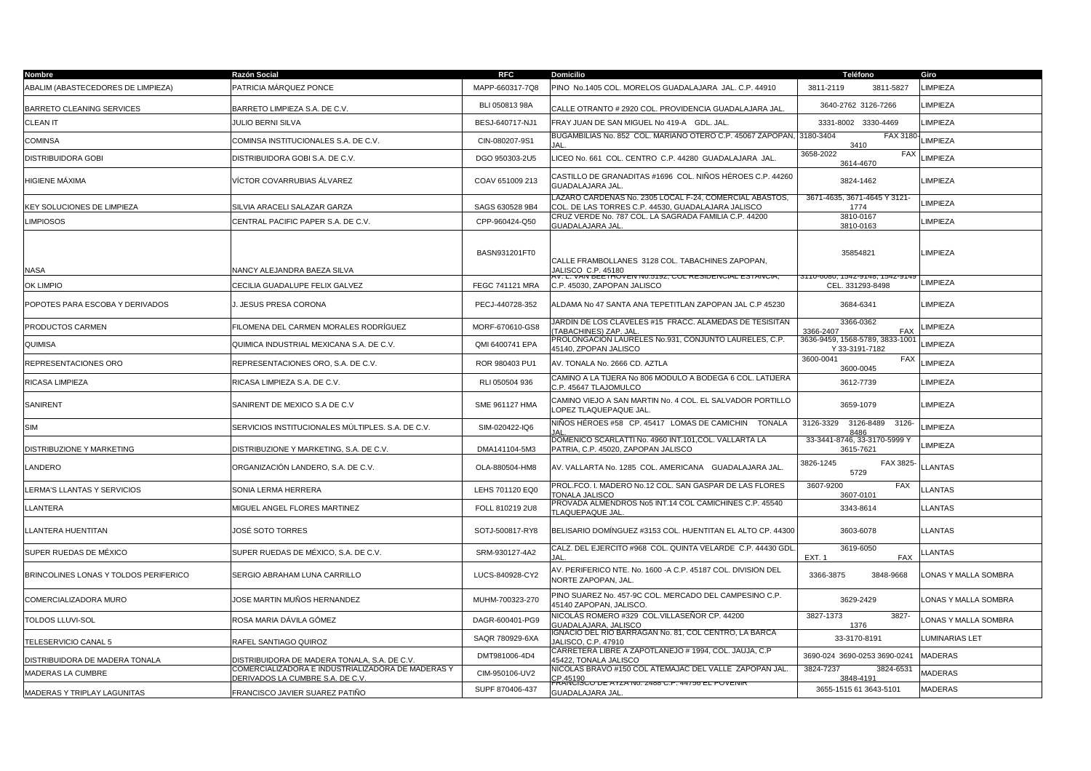| Nombre                                | Razón Social                                                                          | <b>RFC</b>             | <b>Domicilio</b>                                                                                              | Teléfono                                          | Giro                  |
|---------------------------------------|---------------------------------------------------------------------------------------|------------------------|---------------------------------------------------------------------------------------------------------------|---------------------------------------------------|-----------------------|
| ABALIM (ABASTECEDORES DE LIMPIEZA)    | PATRICIA MÁRQUEZ PONCE                                                                | MAPP-660317-7Q8        | PINO No.1405 COL. MORELOS GUADALAJARA JAL. C.P. 44910                                                         | 3811-2119<br>3811-5827                            | LIMPIEZA              |
| BARRETO CLEANING SERVICES             | BARRETO LIMPIEZA S.A. DE C.V.                                                         | BLI 050813 98A         | CALLE OTRANTO # 2920 COL. PROVIDENCIA GUADALAJARA JAL                                                         | 3640-2762 3126-7266                               | LIMPIEZA              |
| CLEAN IT                              | <b>JULIO BERNI SILVA</b>                                                              | BESJ-640717-NJ1        | FRAY JUAN DE SAN MIGUEL No 419-A GDL. JAL                                                                     | 3331-8002 3330-4469                               | LIMPIEZA              |
| <b>COMINSA</b>                        | COMINSA INSTITUCIONALES S.A. DE C.V.                                                  | CIN-080207-9S1         | BUGAMBILIAS No. 852 COL. MARIANO OTERO C.P. 45067 ZAPOPAN, 3180-3404                                          | FAX 3180 LIMPIEZA<br>3410                         |                       |
| <b>DISTRIBUIDORA GOBI</b>             | DISTRIBUIDORA GOBI S.A. DE C.V.                                                       | DGO 950303-2U5         | LICEO No. 661 COL. CENTRO C.P. 44280 GUADALAJARA JAL.                                                         | 3658-2022<br>FAX<br>3614-4670                     | LIMPIEZA              |
| HIGIENE MÁXIMA                        | VÍCTOR COVARRUBIAS ÁLVAREZ                                                            | COAV 651009 213        | CASTILLO DE GRANADITAS #1696  COL. NIÑOS HÉROES C.P. 44260<br>GUADALAJARA JAL.                                | 3824-1462                                         | <b>LIMPIEZA</b>       |
| KEY SOLUCIONES DE LIMPIEZA            | SILVIA ARACELI SALAZAR GARZA                                                          | SAGS 630528 9B4        | LAZARO CARDENAS No. 2305 LOCAL F-24, COMERCIAL ABASTOS,<br>COL. DE LAS TORRES C.P. 44530, GUADALAJARA JALISCO | 3671-4635, 3671-4645 Y 3121-<br>1774              | <b>LIMPIEZA</b>       |
| <b>LIMPIOSOS</b>                      | CENTRAL PACIFIC PAPER S.A. DE C.V.                                                    | CPP-960424-Q50         | CRUZ VERDE No. 787 COL. LA SAGRADA FAMILIA C.P. 44200<br>GUADALAJARA JAL                                      | 3810-0167<br>3810-0163                            | LIMPIEZA              |
| <b>NASA</b>                           | VANCY ALEJANDRA BAEZA SILVA                                                           | BASN931201FT0          | CALLE FRAMBOLLANES 3128 COL. TABACHINES ZAPOPAN,<br>JALISCO C.P. 45180                                        | 35854821                                          | LIMPIEZA              |
| <b>OK LIMPIO</b>                      | CECILIA GUADALUPE FELIX GALVEZ                                                        | <b>FEGC 741121 MRA</b> | W. L. VAN BEETHOVEN N0.5192, COL RESIDENCIAL ESTANCIA,<br>C.P. 45030, ZAPOPAN JALISCO                         | 3110-6080, 1542-9148, 1542-91<br>CEL. 331293-8498 | LIMPIEZA              |
| POPOTES PARA ESCOBA Y DERIVADOS       | J. JESUS PRESA CORONA                                                                 | PECJ-440728-352        | ALDAMA No 47 SANTA ANA TEPETITLAN ZAPOPAN JAL C.P 45230                                                       | 3684-6341                                         | LIMPIEZA              |
| PRODUCTOS CARMEN                      | FILOMENA DEL CARMEN MORALES RODRÍGUEZ                                                 | MORF-670610-GS8        | JARDÍN DE LOS CLAVELES #15 FRACC. ALAMEDAS DE TESISITAN<br>TABACHINES) ZAP. JAL                               | 3366-0362<br><b>FAX</b><br>3366-2407              | LIMPIEZA              |
| QUIMISA                               | QUIMICA INDUSTRIAL MEXICANA S.A. DE C.V.                                              | QMI 6400741 EPA        | PROLONGACION LAURELES No.931, CONJUNTO LAURELES, C.P.<br>45140, ZPOPAN JALISCO                                | 3636-9459, 1568-5789, 3833-1001<br>Y 33-3191-7182 | LIMPIEZA              |
| REPRESENTACIONES ORO                  | REPRESENTACIONES ORO, S.A. DE C.V.                                                    | ROR 980403 PU1         | AV. TONALA No. 2666 CD. AZTLA                                                                                 | 3600-0041<br><b>FAX</b><br>3600-0045              | LIMPIEZA              |
| RICASA LIMPIEZA                       | RICASA LIMPIEZA S.A. DE C.V.                                                          | RLI 050504 936         | CAMINO A LA TIJERA No 806 MODULO A BODEGA 6 COL. LATIJERA<br>C.P. 45647 TLAJOMULCO                            | 3612-7739                                         | LIMPIEZA              |
| SANIRENT                              | SANIRENT DE MEXICO S.A DE C.V                                                         | SME 961127 HMA         | CAMINO VIEJO A SAN MARTIN No. 4 COL. EL SALVADOR PORTILLO<br>LOPEZ TLAQUEPAQUE JAL                            | 3659-1079                                         | LIMPIEZA              |
| <b>SIM</b>                            | SERVICIOS INSTITUCIONALES MÚLTIPLES. S.A. DE C.V.                                     | SIM-020422-IQ6         | NIÑOS HÉROES #58 CP. 45417 LOMAS DE CAMICHIN TONALA                                                           | 3126-3329<br>3126-8489<br>3126-<br>8486           | LIMPIEZA              |
| DISTRIBUZIONE Y MARKETING             | DISTRIBUZIONE Y MARKETING, S.A. DE C.V.                                               | DMA141104-5M3          | DOMENICO SCARLATTI No. 4960 INT.101,COL. VALLARTA LA<br>PATRIA, C.P. 45020, ZAPOPAN JALISCO                   | 33-3441-8746, 33-3170-5999 Y<br>3615-7621         | LIMPIEZA              |
| LANDERO                               | ORGANIZACIÓN LANDERO, S.A. DE C.V.                                                    | OLA-880504-HM8         | AV. VALLARTA No. 1285 COL. AMERICANA GUADALAJARA JAL.                                                         | 3826-1245<br>FAX 3825<br>5729                     | <b>LLANTAS</b>        |
| LERMA'S LLANTAS Y SERVICIOS           | SONIA LERMA HERRERA                                                                   | LEHS 701120 EQ0        | PROL.FCO. I. MADERO No.12 COL. SAN GASPAR DE LAS FLORES<br><b>TONALA JALISCO</b>                              | 3607-9200<br>FAX<br>3607-0101                     | <b>LLANTAS</b>        |
| LLANTERA                              | MIGUEL ANGEL FLORES MARTINEZ                                                          | FOLL 810219 2U8        | PROVADA ALMENDROS No5 INT.14 COL CAMICHINES C.P. 45540<br>TLAQUEPAQUE JAL                                     | 3343-8614                                         | <b>LLANTAS</b>        |
| LLANTERA HUENTITAN                    | JOSÉ SOTO TORRES                                                                      | SOTJ-500817-RY8        | BELISARIO DOMÍNGUEZ #3153 COL. HUENTITAN EL ALTO CP. 44300                                                    | 3603-6078                                         | <b>LLANTAS</b>        |
| SUPER RUEDAS DE MÉXICO                | SUPER RUEDAS DE MÉXICO, S.A. DE C.V.                                                  | SRM-930127-4A2         | CALZ. DEL EJERCITO #968  COL. QUINTA VELARDE  C.P. 44430 GDL                                                  | 3619-6050<br><b>FAX</b><br><b>EXT. 1</b>          | <b>LLANTAS</b>        |
| BRINCOLINES LONAS Y TOLDOS PERIFERICO | SERGIO ABRAHAM LUNA CARRILLO                                                          | LUCS-840928-CY2        | AV. PERIFERICO NTE. No. 1600 -A C.P. 45187 COL. DIVISION DEL<br>NORTE ZAPOPAN, JAL.                           | 3848-9668<br>3366-3875                            | LONAS Y MALLA SOMBRA  |
| COMERCIALIZADORA MURO                 | IOSE MARTIN MUÑOS HERNANDEZ                                                           | MUHM-700323-270        | PINO SUAREZ No. 457-9C COL. MERCADO DEL CAMPESINO C.P.<br>45140 ZAPOPAN, JALISCO.                             | 3629-2429                                         | LONAS Y MALLA SOMBRA  |
| TOLDOS LLUVI-SOL                      | ROSA MARIA DÁVILA GÓMEZ                                                               | DAGR-600401-PG9        | NICOLÁS ROMERO #329  COL.VILLASEÑOR CP. 44200<br><b>GUADALAJARA, JALISCO</b>                                  | 3827-1373<br>3827<br>1376                         | LONAS Y MALLA SOMBRA  |
| TELESERVICIO CANAL 5                  | RAFEL SANTIAGO QUIROZ                                                                 | SAQR 780929-6XA        | GNACIO DEL RIO BARRAGAN No. 81, COL CENTRO, LA BARCA<br>JALISCO, C.P. 47910                                   | 33-3170-8191                                      | <b>LUMINARIAS LET</b> |
| DISTRIBUIDORA DE MADERA TONALA        | DISTRIBUIDORA DE MADERA TONALA, S.A. DE C.V.                                          | DMT981006-4D4          | CARRETERA LIBRE A ZAPOTLANEJO # 1994, COL. JAUJA, C.P<br>45422, TONALA JALISCO                                | 3690-024 3690-0253 3690-0241                      | <b>MADERAS</b>        |
| MADERAS LA CUMBRE                     | COMERCIALIZADORA E INDUSTRIALIZADORA DE MADERAS Y<br>DERIVADOS LA CUMBRE S.A. DE C.V. | CIM-950106-UV2         | NICOLAS BRAVO #150 COL ATEMAJAC DEL VALLE ZAPOPAN JAL.<br>CP.45190                                            | 3824-7237<br>3824-653<br>3848-4191                | <b>MADERAS</b>        |
| MADERAS Y TRIPLAY LAGUNITAS           | FRANCISCO JAVIER SUAREZ PATIÑO                                                        | SUPF 870406-437        | RAÑČIŠCO DE AYZA N0. Z488 C.P. 44756 EL POVENIR<br>GUADALAJARA JAL.                                           | 3655-1515 61 3643-5101                            | <b>MADERAS</b>        |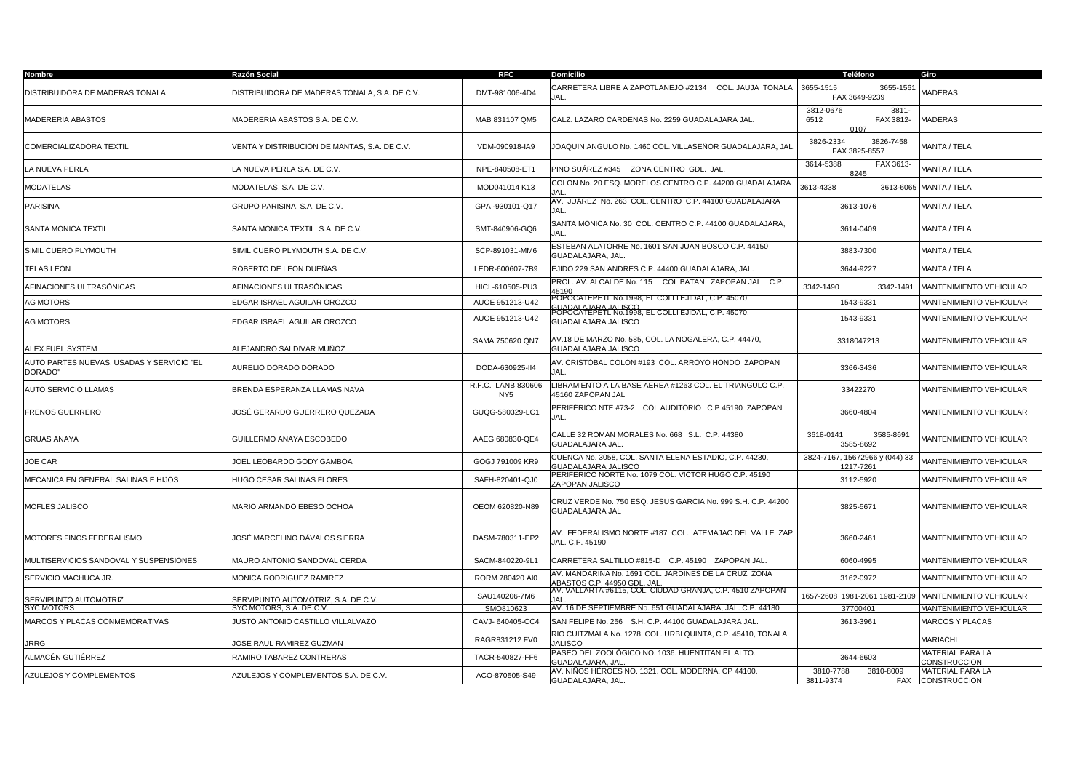| Nombre                                               | Razón Social                                  | <b>RFC</b>                            | <b>Domicilio</b>                                                                                                                   | Teléfono                                              | Giro                                           |
|------------------------------------------------------|-----------------------------------------------|---------------------------------------|------------------------------------------------------------------------------------------------------------------------------------|-------------------------------------------------------|------------------------------------------------|
| DISTRIBUIDORA DE MADERAS TONALA                      | DISTRIBUIDORA DE MADERAS TONALA, S.A. DE C.V. | DMT-981006-4D4                        | CARRETERA LIBRE A ZAPOTLANEJO #2134 COL. JAUJA TONALA<br>JAL.                                                                      | 3655-1515<br>3655-1561<br>FAX 3649-9239               | <b>MADERAS</b>                                 |
| MADERERIA ABASTOS                                    | MADERERIA ABASTOS S.A. DE C.V.                | MAB 831107 QM5                        | CALZ. LAZARO CARDENAS No. 2259 GUADALAJARA JAL.                                                                                    | 3812-0676<br>$3811 -$<br>FAX 3812-<br>6512<br>0107    | <b>MADERAS</b>                                 |
| COMERCIALIZADORA TEXTIL                              | VENTA Y DISTRIBUCION DE MANTAS, S.A. DE C.V.  | VDM-090918-IA9                        | JOAQUÍN ANGULO No. 1460 COL. VILLASEÑOR GUADALAJARA, JAI                                                                           | 3826-2334<br>3826-7458<br>FAX 3825-8557               | MANTA / TELA                                   |
| LA NUEVA PERLA                                       | LA NUEVA PERLA S.A. DE C.V.                   | NPE-840508-ET1                        | PINO SUÁREZ #345 ZONA CENTRO GDL. JAL.                                                                                             | 3614-5388<br>FAX 3613<br>8245                         | MANTA / TELA                                   |
| MODATELAS                                            | MODATELAS, S.A. DE C.V.                       | MOD041014 K13                         | COLON No. 20 ESQ. MORELOS CENTRO C.P. 44200 GUADALAJARA<br>IAI                                                                     | 3613-4338                                             | 3613-6065 MANTA / TELA                         |
| <b>PARISINA</b>                                      | GRUPO PARISINA, S.A. DE C.V.                  | GPA -930101-Q17                       | AV. JUÁREZ No. 263 COL. CENTRO C.P. 44100 GUADALAJARA<br>IΔI                                                                       | 3613-1076                                             | MANTA / TELA                                   |
| <b>SANTA MONICA TEXTIL</b>                           | SANTA MONICA TEXTIL, S.A. DE C.V.             | SMT-840906-GQ6                        | SANTA MONICA No. 30 COL. CENTRO C.P. 44100 GUADALAJARA,<br>JAL.                                                                    | 3614-0409                                             | MANTA / TELA                                   |
| SIMIL CUERO PLYMOUTH                                 | SIMIL CUERO PLYMOUTH S.A. DE C.V.             | SCP-891031-MM6                        | ESTEBAN ALATORRE No. 1601 SAN JUAN BOSCO C.P. 44150<br>GUADALAJARA, JAL                                                            | 3883-7300                                             | MANTA / TELA                                   |
| <b>TELAS LEON</b>                                    | ROBERTO DE LEON DUEÑAS                        | LEDR-600607-7B9                       | EJIDO 229 SAN ANDRES C.P. 44400 GUADALAJARA, JAL.                                                                                  | 3644-9227                                             | MANTA / TELA                                   |
| AFINACIONES ULTRASÓNICAS                             | AFINACIONES ULTRASÓNICAS                      | HICL-610505-PU3                       | PROL. AV. ALCALDE No. 115 COL BATAN ZAPOPAN JAL C.P.<br>15190                                                                      | 3342-1490<br>3342-1491                                | MANTENIMIENTO VEHICULAR                        |
| <b>AG MOTORS</b>                                     | EDGAR ISRAEL AGUILAR OROZCO                   | AUOE 951213-U42                       | POPOCATEPETL No.1998, EL COLLI EJIDAL, C.P. 45070,<br>GUADALA IARA, IALISCO.<br>POPOCATEPETL No.1998, EL COLLI EJIDAL, C.P. 45070, | 1543-9331                                             | <b>MANTENIMIENTO VEHICULAR</b>                 |
| AG MOTORS                                            | EDGAR ISRAEL AGUILAR OROZCO                   | AUOE 951213-U42                       | GUADALAJARA JALISCO                                                                                                                | 1543-9331                                             | MANTENIMIENTO VEHICULAR                        |
| ALEX FUEL SYSTEM                                     | ALEJANDRO SALDIVAR MUÑOZ                      | SAMA 750620 QN7                       | AV.18 DE MARZO No. 585, COL. LA NOGALERA, C.P. 44470,<br>GUADALAJARA JALISCO                                                       | 3318047213                                            | MANTENIMIENTO VEHICULAR                        |
| AUTO PARTES NUEVAS, USADAS Y SERVICIO "EL<br>DORADO" | AURELIO DORADO DORADO                         | DODA-630925-II4                       | AV. CRISTÓBAL COLON #193 COL. ARROYO HONDO ZAPOPAN<br>JAL.                                                                         | 3366-3436                                             | MANTENIMIENTO VEHICULAR                        |
| AUTO SERVICIO LLAMAS                                 | BRENDA ESPERANZA LLAMAS NAVA                  | R.F.C. LANB 830606<br>NY <sub>5</sub> | LIBRAMIENTO A LA BASE AEREA #1263 COL. EL TRIANGULO C.P.<br>45160 ZAPOPAN JAL                                                      | 33422270                                              | MANTENIMIENTO VEHICULAR                        |
| FRENOS GUERRERO                                      | JOSÉ GERARDO GUERRERO QUEZADA                 | GUQG-580329-LC1                       | PERIFÉRICO NTE #73-2 COL AUDITORIO C.P 45190 ZAPOPAN<br>JAL.                                                                       | 3660-4804                                             | MANTENIMIENTO VEHICULAR                        |
| <b>GRUAS ANAYA</b>                                   | GUILLERMO ANAYA ESCOBEDO                      | AAEG 680830-QE4                       | CALLE 32 ROMAN MORALES No. 668 S.L. C.P. 44380<br>GUADALAJARA JAL.                                                                 | 3618-0141<br>3585-8691<br>3585-8692                   | MANTENIMIENTO VEHICULAR                        |
| JOE CAR                                              | JOEL LEOBARDO GODY GAMBOA                     | GOGJ 791009 KR9                       | CUENCA No. 3058, COL. SANTA ELENA ESTADIO, C.P. 44230,<br>GUADALAJARA JALISCO                                                      | 3824-7167, 15672966 y (044) 33<br>1217-7261           | MANTENIMIENTO VEHICULAR                        |
| MECANICA EN GENERAL SALINAS E HIJOS                  | HUGO CESAR SALINAS FLORES                     | SAFH-820401-QJ0                       | PERIFERICO NORTE No. 1079 COL. VICTOR HUGO C.P. 45190<br>ZAPOPAN JALISCO                                                           | 3112-5920                                             | MANTENIMIENTO VEHICULAR                        |
| MOFLES JALISCO                                       | MARIO ARMANDO EBESO OCHOA                     | OEOM 620820-N89                       | CRUZ VERDE No. 750 ESQ. JESUS GARCIA No. 999 S.H. C.P. 44200<br><b>GUADALAJARA JAL</b>                                             | 3825-5671                                             | MANTENIMIENTO VEHICULAR                        |
| MOTORES FINOS FEDERALISMO                            | JOSÉ MARCELINO DÁVALOS SIERRA                 | DASM-780311-EP2                       | AV. FEDERALISMO NORTE #187 COL. ATEMAJAC DEL VALLE ZAP.<br>JAL. C.P. 45190                                                         | 3660-2461                                             | MANTENIMIENTO VEHICULAR                        |
| MULTISERVICIOS SANDOVAL Y SUSPENSIONES               | MAURO ANTONIO SANDOVAL CERDA                  | SACM-840220-9L1                       | CARRETERA SALTILLO #815-D C.P. 45190 ZAPOPAN JAL.                                                                                  | 6060-4995                                             | MANTENIMIENTO VEHICULAR                        |
| SERVICIO MACHUCA JR.                                 | MONICA RODRIGUEZ RAMIREZ                      | RORM 780420 AI0                       | AV. MANDARINA No. 1691 COL. JARDINES DE LA CRUZ ZONA<br>ABASTOS C.P. 44950 GDL. JAL                                                | 3162-0972                                             | MANTENIMIENTO VEHICULAR                        |
| SERVIPUNTO AUTOMOTRIZ                                | SERVIPUNTO AUTOMOTRIZ. S.A. DE C.V.           | SAU140206-7M6                         | AV. VALLARTA #6115, COL. CIUDAD GRANJA, C.P. 4510 ZAPOPAN<br>IAI                                                                   | 1657-2608 1981-2061 1981-2109 MANTENIMIENTO VEHICULAR |                                                |
| SYC MOTORS                                           | SYC MOTORS, S.A. DE C.V.                      | SMO810623                             | AV. 16 DE SEPTIEMBRE No. 651 GUADALAJARA, JAL. C.P. 44180                                                                          | 37700401                                              | <b>MANTENIMIENTO VEHICULAR</b>                 |
| MARCOS Y PLACAS CONMEMORATIVAS                       | JUSTO ANTONIO CASTILLO VILLALVAZO             | CAVJ-640405-CC4                       | SAN FELIPE No. 256 S.H. C.P. 44100 GUADALAJARA JAL.                                                                                | 3613-3961                                             | <b>MARCOS Y PLACAS</b>                         |
| <b>JRRG</b>                                          | OSE RAUL RAMIREZ GUZMAN                       | RAGR831212 FV0                        | RIO CUITZMALA No. 1278, COL. URBI QUINTA, C.P. 45410, TONALA<br><b>JALISCO</b>                                                     |                                                       | <b>MARIACHI</b>                                |
| ALMACÉN GUTIÉRREZ                                    | RAMIRO TABAREZ CONTRERAS                      | TACR-540827-FF6                       | PASEO DEL ZOOLÓGICO NO. 1036. HUENTITAN EL ALTO.<br>GUADALAJARA. JAL                                                               | 3644-6603                                             | <b>MATERIAL PARA LA</b><br><b>CONSTRUCCION</b> |
| AZULEJOS Y COMPLEMENTOS                              | AZULEJOS Y COMPLEMENTOS S.A. DE C.V.          | ACO-870505-S49                        | AV. NIÑOS HÉROES NO. 1321. COL. MODERNA. CP 44100.<br>GUADALAJARA, JAL                                                             | 3810-7788<br>3810-8009<br>3811-9374                   | <b>MATERIAL PARA LA</b><br>FAX CONSTRUCCION    |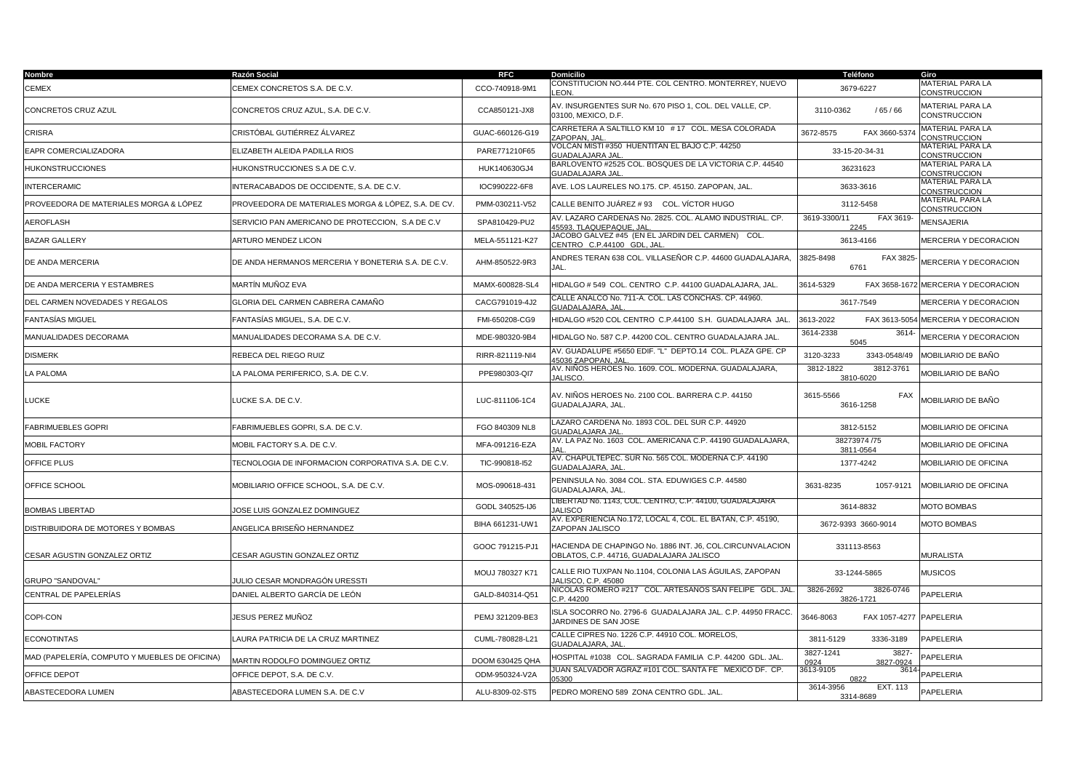| Nombre                                        | Razón Social                                        | <b>RFC</b>      | Domicilio                                                                                             | Teléfono                                | Giro                                           |
|-----------------------------------------------|-----------------------------------------------------|-----------------|-------------------------------------------------------------------------------------------------------|-----------------------------------------|------------------------------------------------|
| CEMEX                                         | CEMEX CONCRETOS S.A. DE C.V.                        | CCO-740918-9M1  | CONSTITUCION NO.444 PTE. COL CENTRO. MONTERREY, NUEVO<br>EON.                                         | 3679-6227                               | <b>MATERIAL PARA LA</b><br><b>CONSTRUCCION</b> |
| CONCRETOS CRUZ AZUL                           | CONCRETOS CRUZ AZUL, S.A. DE C.V.                   | CCA850121-JX8   | AV. INSURGENTES SUR No. 670 PISO 1, COL. DEL VALLE, CP.<br>03100, MEXICO, D.F.                        | /65/66<br>3110-0362                     | <b>MATERIAL PARA LA</b><br><b>CONSTRUCCION</b> |
| CRISRA                                        | CRISTÓBAL GUTIÉRREZ ÁLVAREZ                         | GUAC-660126-G19 | CARRETERA A SALTILLO KM 10 # 17 COL. MESA COLORADA<br>ZAPOPAN, JAL                                    | 3672-8575<br>FAX 3660-5374              | <b>MATERIAL PARA LA</b><br>CONSTRUCCION        |
| EAPR COMERCIALIZADORA                         | ELIZABETH ALEIDA PADILLA RIOS                       | PARE771210F65   | VOLCAN MISTI #350 HUENTITAN EL BAJO C.P. 44250<br><b>GUADALAJARA JAL</b>                              | 33-15-20-34-31                          | <b>MATERIAL PARA LA</b><br><b>CONSTRUCCION</b> |
| <b>HUKONSTRUCCIONES</b>                       | HUKONSTRUCCIONES S.A DE C.V.                        | HUK140630GJ4    | BARLOVENTO #2525 COL. BOSQUES DE LA VICTORIA C.P. 44540<br>GUADALAJARA JAL                            | 36231623                                | <b>MATERIAL PARA LA</b><br>CONSTRUCCION        |
| <b>INTERCERAMIC</b>                           | INTERACABADOS DE OCCIDENTE, S.A. DE C.V.            | IOC990222-6F8   | AVE. LOS LAURELES NO.175. CP. 45150. ZAPOPAN, JAL.                                                    | 3633-3616                               | MATERIAL PARA LA<br>CONSTRUCCION               |
| PROVEEDORA DE MATERIALES MORGA & LÓPEZ        | PROVEEDORA DE MATERIALES MORGA & LÓPEZ, S.A. DE CV. | PMM-030211-V52  | CALLE BENITO JUÁREZ # 93  COL. VÍCTOR HUGO                                                            | 3112-5458                               | MATERIAL PARA LA<br>CONSTRUCCION               |
| AEROFLASH                                     | SERVICIO PAN AMERICANO DE PROTECCION, S.A DE C.V    | SPA810429-PU2   | AV. LAZARO CARDENAS No. 2825. COL. ALAMO INDUSTRIAL. CP.<br>45593. TLAQUEPAQUE, JAL                   | 3619-3300/11<br>FAX 3619-<br>2245       | <b>MENSAJERIA</b>                              |
| <b>BAZAR GALLERY</b>                          | ARTURO MENDEZ LICON                                 | MELA-551121-K27 | JACOBO GALVEZ #45 (EN EL JARDIN DEL CARMEN) COL.<br>CENTRO C.P.44100 GDL. JAL                         | 3613-4166                               | MERCERIA Y DECORACION                          |
| DE ANDA MERCERIA                              | DE ANDA HERMANOS MERCERIA Y BONETERIA S.A. DE C.V.  | AHM-850522-9R3  | ANDRES TERAN 638 COL. VILLASEÑOR C.P. 44600 GUADALAJARA,<br>JAL.                                      | 3825-8498<br>FAX 3825<br>6761           | MERCERIA Y DECORACION                          |
| DE ANDA MERCERIA Y ESTAMBRES                  | MARTÍN MUÑOZ EVA                                    | MAMX-600828-SL4 | HIDALGO # 549 COL. CENTRO C.P. 44100 GUADALAJARA. JAL.                                                | 3614-5329<br>FAX 3658-167               | <b>MERCERIA Y DECORACION</b>                   |
| DEL CARMEN NOVEDADES Y REGALOS                | GLORIA DEL CARMEN CABRERA CAMAÑO                    | CACG791019-4J2  | CALLE ANALCO No. 711-A. COL. LAS CONCHAS. CP. 44960.<br><b>GUADALAJARA, JAL</b>                       | 3617-7549                               | MERCERIA Y DECORACION                          |
| <b>FANTASÍAS MIGUEL</b>                       | FANTASÍAS MIGUEL, S.A. DE C.V.                      | FMI-650208-CG9  | HIDALGO #520 COL CENTRO C.P.44100 S.H. GUADALAJARA JAL                                                | 3613-2022<br>FAX 3613-5054              | MERCERIA Y DECORACION                          |
| MANUALIDADES DECORAMA                         | MANUALIDADES DECORAMA S.A. DE C.V.                  | MDE-980320-9B4  | HIDALGO No. 587 C.P. 44200 COL. CENTRO GUADALAJARA JAL                                                | 3614<br>3614-2338<br>5045               | <b>MERCERIA Y DECORACION</b>                   |
| <b>DISMERK</b>                                | REBECA DEL RIEGO RUIZ                               | RIRR-821119-NI4 | AV. GUADALUPE #5650 EDIF. "L" DEPTO.14 COL. PLAZA GPE. CP<br>45036 ZAPOPAN, JAL                       | 3120-3233<br>3343-0548/49               | MOBILIARIO DE BAÑO                             |
| LA PALOMA                                     | LA PALOMA PERIFERICO, S.A. DE C.V.                  | PPE980303-QI7   | AV. NIÑOS HEROES No. 1609. COL. MODERNA. GUADALAJARA,<br><b>JALISCO</b>                               | 3812-1822<br>3812-3761<br>3810-6020     | MOBILIARIO DE BAÑO                             |
| LUCKE                                         | LUCKE S.A. DE C.V.                                  | LUC-811106-1C4  | AV. NIÑOS HEROES No. 2100 COL. BARRERA C.P. 44150<br>GUADALAJARA, JAL.                                | 3615-5566<br>FAX<br>3616-1258           | MOBILIARIO DE BAÑO                             |
| <b>FABRIMUEBLES GOPRI</b>                     | FABRIMUEBLES GOPRI. S.A. DE C.V.                    | FGO 840309 NL8  | LAZARO CARDENA No. 1893 COL. DEL SUR C.P. 44920<br>GUADALAJARA JAI                                    | 3812-5152                               | MOBILIARIO DE OFICINA                          |
| MOBIL FACTORY                                 | MOBIL FACTORY S.A. DE C.V.                          | MFA-091216-EZA  | AV. LA PAZ No. 1603 COL. AMERICANA C.P. 44190 GUADALAJARA,                                            | 38273974 /75<br>3811-0564               | MOBILIARIO DE OFICINA                          |
| OFFICE PLUS                                   | TECNOLOGIA DE INFORMACION CORPORATIVA S.A. DE C.V.  | TIC-990818-I52  | AV. CHAPULTEPEC. SUR No. 565 COL. MODERNA C.P. 44190<br>GUADALAJARA, JAL                              | 1377-4242                               | MOBILIARIO DE OFICINA                          |
| OFFICE SCHOOL                                 | MOBILIARIO OFFICE SCHOOL, S.A. DE C.V.              | MOS-090618-431  | PENINSULA No. 3084 COL. STA. EDUWIGES C.P. 44580<br>GUADALAJARA, JAL.                                 | 3631-8235<br>1057-9121                  | MOBILIARIO DE OFICINA                          |
| <b>BOMBAS LIBERTAD</b>                        | JOSE LUIS GONZALEZ DOMINGUEZ                        | GODL 340525-IJ6 | LIBERTAD No. 1143, COL. CENTRO, C.P. 44100, GUADALAJARA<br><b>JALISCO</b>                             | 3614-8832                               | <b>MOTO BOMBAS</b>                             |
| DISTRIBUIDORA DE MOTORES Y BOMBAS             | ANGELICA BRISEÑO HERNANDEZ                          | BIHA 661231-UW1 | AV. EXPERIENCIA No.172, LOCAL 4, COL. EL BATAN, C.P. 45190,<br>ZAPOPAN JALISCO                        | 3672-9393 3660-9014                     | <b>MOTO BOMBAS</b>                             |
| CESAR AGUSTIN GONZALEZ ORTIZ                  | CESAR AGUSTIN GONZALEZ ORTIZ                        | GOOC 791215-PJ1 | HACIENDA DE CHAPINGO No. 1886 INT. J6, COL.CIRCUNVALACION<br>OBLATOS, C.P. 44716, GUADALAJARA JALISCO | 331113-8563                             | <b>MURALISTA</b>                               |
| GRUPO "SANDOVAL"                              | JULIO CESAR MONDRAGÓN URESSTI                       | MOUJ 780327 K71 | CALLE RIO TUXPAN No.1104, COLONIA LAS ÁGUILAS, ZAPOPAN<br>JALISCO, C.P. 45080                         | 33-1244-5865                            | <b>MUSICOS</b>                                 |
| CENTRAL DE PAPELERÍAS                         | DANIEL ALBERTO GARCÍA DE LEÓN                       | GALD-840314-Q51 | NICOLÁS ROMERO #217   COL. ARTESANOS SAN FELIPE   GDL. JAL<br>C.P. 44200                              | 3826-2692<br>3826-0746<br>3826-1721     | PAPELERIA                                      |
| COPI-CON                                      | JESUS PEREZ MUÑOZ                                   | PEMJ 321209-BE3 | ISLA SOCORRO No. 2796-6  GUADALAJARA JAL. C.P. 44950 FRACC.<br>JARDINES DE SAN JOSE                   | 3646-8063<br>FAX 1057-4277              | <b>PAPELERIA</b>                               |
| <b>ECONOTINTAS</b>                            | LAURA PATRICIA DE LA CRUZ MARTINEZ                  | CUML-780828-L21 | CALLE CIPRES No. 1226 C.P. 44910 COL. MORELOS,<br>GUADALAJARA, JAL                                    | 3336-3189<br>3811-5129                  | PAPELERIA                                      |
| MAD (PAPELERÍA, COMPUTO Y MUEBLES DE OFICINA) | MARTIN RODOLFO DOMINGUEZ ORTIZ                      | DOOM 630425 QHA | HOSPITAL #1038 COL. SAGRADA FAMILIA C.P. 44200 GDL. JAL.                                              | 3827-1241<br>3827-<br>3827-0924<br>0924 | <b>PAPELERIA</b>                               |
| OFFICE DEPOT                                  | OFFICE DEPOT, S.A. DE C.V.                          | ODM-950324-V2A  | JUAN SALVADOR AGRAZ #101 COL. SANTA FE MÉXICO DF. CP.<br>5300                                         | 3613-9105<br>3614<br>0822               | <b>PAPELERIA</b>                               |
| ABASTECEDORA LUMEN                            | ABASTECEDORA LUMEN S.A. DE C.V                      | ALU-8309-02-ST5 | PEDRO MORENO 589 ZONA CENTRO GDL. JAL.                                                                | 3614-3956<br>EXT. 113<br>3314-8689      | PAPELERIA                                      |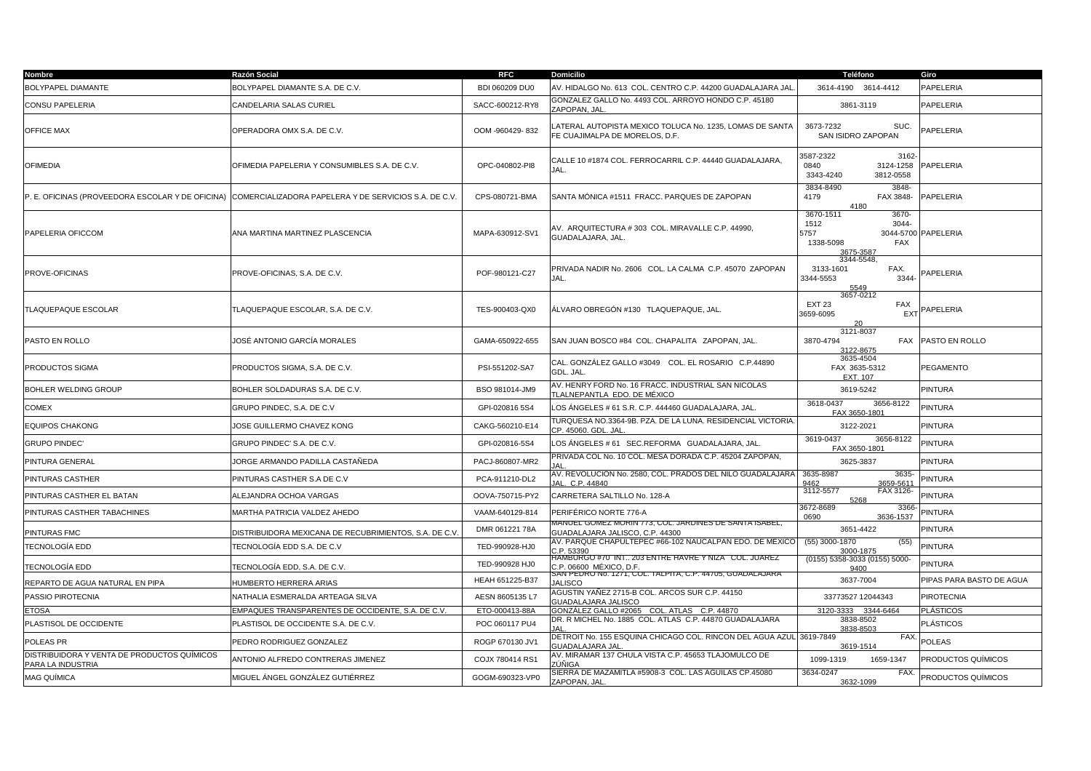| <b>Nombre</b>                                                    | Razón Social                                          | <b>RFC</b>      | <b>Domicilio</b>                                                                          | Teléfono                                                                     | Giro                     |
|------------------------------------------------------------------|-------------------------------------------------------|-----------------|-------------------------------------------------------------------------------------------|------------------------------------------------------------------------------|--------------------------|
| BOLYPAPEL DIAMANTE                                               | BOLYPAPEL DIAMANTE S.A. DE C.V.                       | BDI 060209 DU0  | AV. HIDALGO No. 613 COL. CENTRO C.P. 44200 GUADALAJARA JAL                                | 3614-4190 3614-4412                                                          | PAPELERIA                |
| CONSU PAPELERIA                                                  | CANDELARIA SALAS CURIEL                               | SACC-600212-RY8 | GONZALEZ GALLO No. 4493 COL. ARROYO HONDO C.P. 45180<br>ZAPOPAN, JAL                      | 3861-3119                                                                    | PAPELERIA                |
| <b>OFFICE MAX</b>                                                | OPERADORA OMX S.A. DE C.V.                            | OOM -960429-832 | ATERAL AUTOPISTA MEXICO TOLUCA No. 1235, LOMAS DE SANTA<br>FE CUAJIMALPA DE MORELOS, D.F. | 3673-7232<br>SUC.<br>SAN ISIDRO ZAPOPAN                                      | PAPELERIA                |
| <b>OFIMEDIA</b>                                                  | OFIMEDIA PAPELERIA Y CONSUMIBLES S.A. DE C.V.         | OPC-040802-PI8  | CALLE 10 #1874 COL. FERROCARRIL C.P. 44440 GUADALAJARA,<br>JAL.                           | 3587-2322<br>3162<br>0840<br>3124-1258<br>3343-4240<br>3812-0558             | PAPELERIA                |
| P. E. OFICINAS (PROVEEDORA ESCOLAR Y DE OFICINA)                 | COMERCIALIZADORA PAPELERA Y DE SERVICIOS S.A. DE C.V. | CPS-080721-BMA  | SANTA MÓNICA #1511 FRACC. PARQUES DE ZAPOPAN                                              | 3834-8490<br>3848-<br>4179<br>FAX 3848-<br>4180                              | PAPELERIA                |
| PAPELERIA OFICCOM                                                | ANA MARTINA MARTINEZ PLASCENCIA                       | MAPA-630912-SV1 | AV. ARQUITECTURA # 303 COL. MIRAVALLE C.P. 44990,<br>GUADALAJARA, JAL.                    | 3670-1511<br>3670-<br>1512<br>3044-<br>5757<br>1338-5098<br>FAX<br>3675-3587 | 3044-5700 PAPELERIA      |
| PROVE-OFICINAS                                                   | PROVE-OFICINAS, S.A. DE C.V.                          | POF-980121-C27  | PRIVADA NADIR No. 2606 COL. LA CALMA C.P. 45070 ZAPOPAN<br>JAL.                           | 3344-5548.<br>3133-1601<br>FAX.<br>3344-5553<br>3344<br>5549                 | PAPELERIA                |
| <b>TLAQUEPAQUE ESCOLAR</b>                                       | TLAQUEPAQUE ESCOLAR, S.A. DE C.V.                     | TES-900403-QX0  | ÁLVARO OBREGÓN #130   TLAQUEPAQUE. JAL.                                                   | 3657-0212<br><b>EXT 23</b><br>FAX<br>3659-6095<br>EX <sub>1</sub>            | PAPELERIA                |
| PASTO EN ROLLO                                                   | JOSÉ ANTONIO GARCÍA MORALES                           | GAMA-650922-655 | SAN JUAN BOSCO #84 COL. CHAPALITA ZAPOPAN, JAL.                                           | 3121-8037<br>3870-4794<br>3122-8675                                          | FAX PASTO EN ROLLO       |
| PRODUCTOS SIGMA                                                  | PRODUCTOS SIGMA, S.A. DE C.V.                         | PSI-551202-SA7  | CAL. GONZÁLEZ GALLO #3049    COL. EL ROSARIO   C.P.44890<br>GDL. JAL.                     | 3635-4504<br>FAX 3635-5312<br>EXT. 107                                       | PEGAMENTO                |
| <b>BOHLER WELDING GROUP</b>                                      | BOHLER SOLDADURAS S.A. DE C.V.                        | BSO 981014-JM9  | AV. HENRY FORD No. 16 FRACC. INDUSTRIAL SAN NICOLAS<br>TLALNEPANTLA EDO. DE MÉXICO        | 3619-5242                                                                    | <b>PINTURA</b>           |
| COMEX                                                            | GRUPO PINDEC. S.A. DE C.V                             | GPI-020816 5S4  | LOS ÁNGELES # 61 S.R. C.P. 444460 GUADALAJARA, JAL.                                       | 3618-0437<br>3656-8122<br>FAX 3650-1801                                      | <b>PINTURA</b>           |
| <b>EQUIPOS CHAKONG</b>                                           | JOSE GUILLERMO CHAVEZ KONG                            | CAKG-560210-E14 | TURQUESA NO.3364-9B. PZA. DE LA LUNA. RESIDENCIAL VICTORIA<br>CP. 45060. GDL. JAL         | 3122-2021                                                                    | <b>PINTURA</b>           |
| <b>GRUPO PINDEC'</b>                                             | GRUPO PINDEC' S.A. DE C.V.                            | GPI-020816-5S4  | LOS ÁNGELES # 61   SEC.REFORMA   GUADALAJARA, JAL.                                        | 3619-0437<br>3656-8122<br>FAX 3650-1801                                      | <b>PINTURA</b>           |
| PINTURA GENERAL                                                  | JORGE ARMANDO PADILLA CASTAÑEDA                       | PACJ-860807-MR2 | PRIVADA COL No. 10 COL. MESA DORADA C.P. 45204 ZAPOPAN,                                   | 3625-3837                                                                    | <b>PINTURA</b>           |
| PINTURAS CASTHER                                                 | PINTURAS CASTHER S.A DE C.V                           | PCA-911210-DL2  | 4V. REVOLUCIÓN No. 2580, COL. PRADOS DEL NILO GUADALAJARA  <br>JAL. C.P. 44840            | 3635-8987<br>3635-<br>9462<br>3659-5611                                      | <b>PINTURA</b>           |
| PINTURAS CASTHER EL BATAN                                        | ALEJANDRA OCHOA VARGAS                                | OOVA-750715-PY2 | CARRETERA SALTILLO No. 128-A                                                              | FAX 3126-<br>3112-5577<br>5268                                               | <b>PINTURA</b>           |
| PINTURAS CASTHER TABACHINES                                      | MARTHA PATRICIA VALDEZ AHEDO                          | VAAM-640129-814 | PERIFÉRICO NORTE 776-A                                                                    | 3672-8689<br>3366<br>3636-1537<br>0690                                       | <b>PINTURA</b>           |
| PINTURAS FMC                                                     | DISTRIBUIDORA MEXICANA DE RECUBRIMIENTOS, S.A. DE C.V | DMR 061221 78A  | AANUEL GOMEZ MORIN 773, COL. JARDINES DE SANTA ISABEL,<br>GUADALAJARA JALISCO, C.P. 44300 | 3651-4422                                                                    | <b>PINTURA</b>           |
| TECNOLOGÍA EDD                                                   | TECNOLOGÍA EDD S.A. DE C.V                            | TED-990928-HJ0  | AV. PARQUE CHAPULTEPEC #66-102 NAUCALPAN EDO. DE MÉXICC<br>C.P. 53390                     | (55) 3000-1870<br>(55)<br>3000-1875                                          | <b>PINTURA</b>           |
| TECNOLOGÍA EDD                                                   | TECNOLOGÍA EDD, S.A. DE C.V.                          | TED-990928 HJ0  | HAMBURGO #70 INT 203 ENTRE HAVRE Y NIZA COL. JUAREZ<br>C.P. 06600 MÉXICO. D.F.            | (0155) 5358-3033 (0155) 5000-<br>9400                                        | <b>PINTURA</b>           |
| REPARTO DE AGUA NATURAL EN PIPA                                  | HUMBERTO HERRERA ARIAS                                | HEAH 651225-B37 | AN PEDRO NO. 1271, COL. TALPITA, C.P. 44705, GUADALAJARA<br><b>JALISCO</b>                | 3637-7004                                                                    | PIPAS PARA BASTO DE AGUA |
| PASSIO PIROTECNIA                                                | NATHALIA ESMERALDA ARTEAGA SILVA                      | AESN 8605135 L7 | AGUSTIN YAÑEZ 2715-B COL. ARCOS SUR C.P. 44150<br><b>GUADALAJARA JALISCO</b>              | 33773527 12044343                                                            | <b>PIROTECNIA</b>        |
| <b>ETOSA</b>                                                     | EMPAQUES TRANSPARENTES DE OCCIDENTE, S.A. DE C.V.     | ETO-000413-88A  | GONZÁLEZ GALLO #2065 COL. ATLAS C.P. 44870                                                | 3120-3333<br>3344-6464                                                       | <b>PLÁSTICOS</b>         |
| PLASTISOL DE OCCIDENTE                                           | PLASTISOL DE OCCIDENTE S.A. DE C.V.                   | POC 060117 PU4  | DR. R MICHEL No. 1885 COL. ATLAS C.P. 44870 GUADALAJARA                                   | 3838-8502<br>3838-8503                                                       | <b>PLÁSTICOS</b>         |
| POLEAS PR                                                        | PEDRO RODRIGUEZ GONZALEZ                              | ROGP 670130 JV1 | DETROIT No. 155 ESQUINA CHICAGO COL. RINCON DEL AGUA AZUL 3619-7849<br>GUADALAJARA JAL    | FAX<br>3619-1514                                                             | <b>POLEAS</b>            |
| DISTRIBUIDORA Y VENTA DE PRODUCTOS QUÍMICOS<br>PARA LA INDUSTRIA | ANTONIO ALFREDO CONTRERAS JIMENEZ                     | COJX 780414 RS1 | AV. MIRAMAR 137 CHULA VISTA C.P. 45653 TLAJOMULCO DE<br>ZÚÑIGA                            | 1099-1319<br>1659-1347                                                       | PRODUCTOS QUÍMICOS       |
| MAG QUÍMICA                                                      | MIGUEL ÁNGEL GONZÁLEZ GUTIÉRREZ                       | GOGM-690323-VP0 | SIERRA DE MAZAMITLA #5908-3  COL. LAS ÁGUILAS CP.45080<br>ZAPOPAN, JAL.                   | 3634-0247<br>FAX.<br>3632-1099                                               | PRODUCTOS QUÍMICOS       |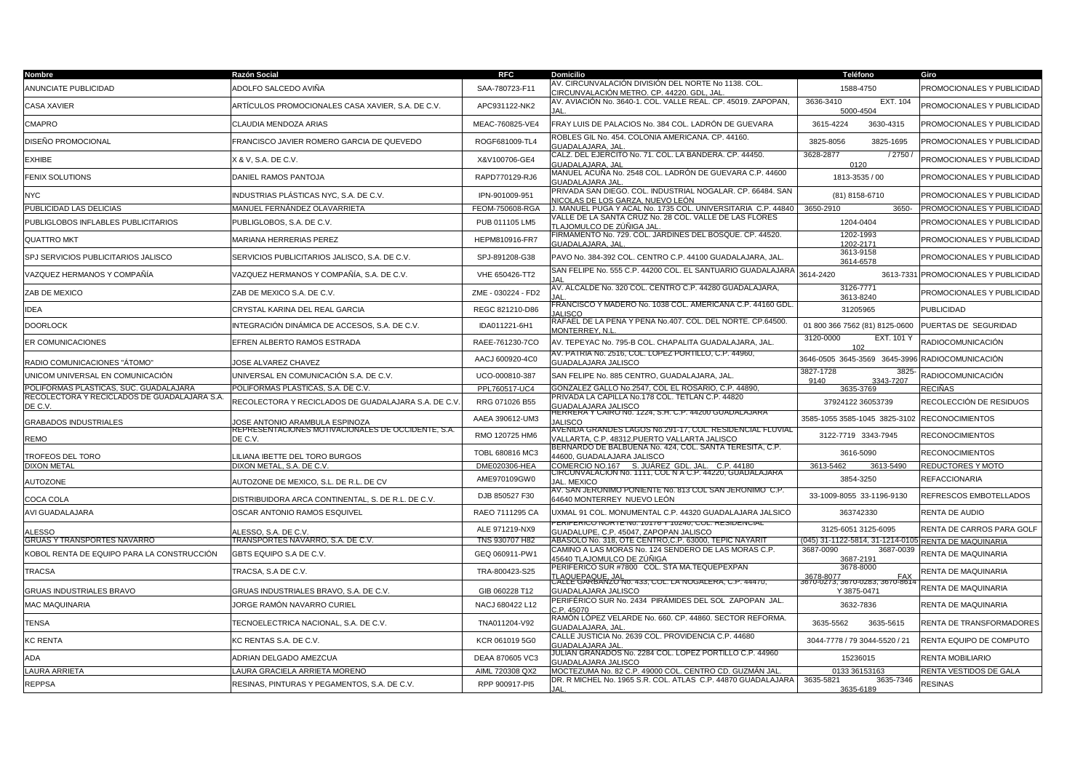| Nombre                                                  | Razón Social                                                                                | RFC                              | <b>Domicilio</b>                                                                                           | Teléfono                                                                    | Giro                              |
|---------------------------------------------------------|---------------------------------------------------------------------------------------------|----------------------------------|------------------------------------------------------------------------------------------------------------|-----------------------------------------------------------------------------|-----------------------------------|
| ANUNCIATE PUBLICIDAD                                    | ADOLFO SALCEDO AVIÑA                                                                        | SAA-780723-F11                   | AV. CIRCUNVALACIÓN DIVISIÓN DEL NORTE Nº 1138. COL.<br>CIRCUNVALACIÓN METRO. CP. 44220. GDL, JAL           | 1588-4750                                                                   | PROMOCIONALES Y PUBLICIDAD        |
| <b>CASA XAVIER</b>                                      | ARTÍCULOS PROMOCIONALES CASA XAVIER. S.A. DE C.V.                                           | APC931122-NK2                    | AV. AVIACIÓN No. 3640-1. COL. VALLE REAL. CP. 45019. ZAPOPAN,                                              | 3636-3410<br>EXT. 104<br>5000-4504                                          | PROMOCIONALES Y PUBLICIDAD        |
| <b>CMAPRO</b>                                           | CLAUDIA MENDOZA ARIAS                                                                       | MEAC-760825-VE4                  | FRAY LUIS DE PALACIOS No. 384 COL. LADRÓN DE GUEVARA                                                       | 3615-4224<br>3630-4315                                                      | PROMOCIONALES Y PUBLICIDAD        |
| DISEÑO PROMOCIONAL                                      | FRANCISCO JAVIER ROMERO GARCIA DE QUEVEDO                                                   | ROGF681009-TL4                   | ROBLES GIL No. 454. COLONIA AMERICANA. CP. 44160.<br>GUADALAJARA, JAI                                      | 3825-1695<br>3825-8056                                                      | PROMOCIONALES Y PUBLICIDAD        |
| <b>EXHIBE</b>                                           | X & V, S.A. DE C.V.                                                                         | X&V100706-GE4                    | CALZ. DEL EJERCITO No. 71. COL. LA BANDERA. CP. 44450.<br>GUADALAJARA, JAL                                 | 3628-2877<br>/2750<br>0120                                                  | PROMOCIONALES Y PUBLICIDAD        |
| <b>FENIX SOLUTIONS</b>                                  | DANIEL RAMOS PANTOJA                                                                        | RAPD770129-RJ6                   | MANUEL ACUÑA No. 2548 COL. LADRÓN DE GUEVARA C.P. 44600<br>GUADALAJARA JAL                                 | 1813-3535 / 00                                                              | PROMOCIONALES Y PUBLICIDAD        |
| <b>NYC</b>                                              | INDUSTRIAS PLÁSTICAS NYC. S.A. DE C.V.                                                      | IPN-901009-951                   | PRIVADA SAN DIEGO. COL. INDUSTRIAL NOGALAR. CP. 66484. SAN<br>NICOLAS DE LOS GARZA, NUEVO LEÓN             | (81) 8158-6710                                                              | PROMOCIONALES Y PUBLICIDAD        |
| PUBLICIDAD LAS DELICIAS                                 | MANUEL FERNÁNDEZ OLAVARRIETA                                                                | FEOM-750608-RGA                  | J. MANUEL PUGA Y ACAL No. 1735 COL. UNIVERSITARIA C.P. 44840   3650-2910                                   | 3650-                                                                       | <b>PROMOCIONALES Y PUBLICIDAD</b> |
| PUBLIGLOBOS INFLABLES PUBLICITARIOS                     | PUBLIGLOBOS, S.A. DE C.V.                                                                   | PUB 011105 LM5                   | VALLE DE LA SANTA CRUZ No. 28 COL. VALLE DE LAS FLORES<br>TLAJOMULCO DE ZÚÑIGA JAL                         | 1204-0404                                                                   | PROMOCIONALES Y PUBLICIDAD        |
| <b>QUATTRO MKT</b>                                      | MARIANA HERRERIAS PEREZ                                                                     | HEPM810916-FR7                   | FIRMAMENTO No. 729. COL. JARDINES DEL BOSQUE. CP. 44520.<br><b>GUADALAJARA, JAL</b>                        | 1202-1993<br>1202-2171                                                      | PROMOCIONALES Y PUBLICIDAD        |
| SPJ SERVICIOS PUBLICITARIOS JALISCO                     | SERVICIOS PUBLICITARIOS JALISCO, S.A. DE C.V.                                               | SPJ-891208-G38                   | PAVO No. 384-392 COL. CENTRO C.P. 44100 GUADALAJARA, JAL.                                                  | 3613-9158<br>3614-6578                                                      | PROMOCIONALES Y PUBLICIDAD        |
| VAZQUEZ HERMANOS Y COMPAÑÍA                             | VAZQUEZ HERMANOS Y COMPAÑÍA, S.A. DE C.V.                                                   | VHE 650426-TT2                   | SAN FELIPE No. 555 C.P. 44200 COL. EL SANTUARIO GUADALAJARA                                                | 3614-2420<br>3613-7331                                                      | <b>PROMOCIONALES Y PUBLICIDAD</b> |
| ZAB DE MEXICO                                           | ZAB DE MEXICO S.A. DE C.V.                                                                  | ZME - 030224 - FD2               | AV. ALCALDE No. 320 COL. CENTRO C.P. 44280 GUADALAJARA,                                                    | 3126-7771<br>3613-8240                                                      | PROMOCIONALES Y PUBLICIDAD        |
| <b>IDEA</b>                                             | CRYSTAL KARINA DEL REAL GARCIA                                                              | REGC 821210-D86                  | FRANCISCO Y MADERO No. 1038 COL. AMERICANA C.P. 44160 GDL<br>1411900                                       | 31205965                                                                    | <b>PUBLICIDAD</b>                 |
| <b>DOORLOCK</b>                                         | INTEGRACIÓN DINÁMICA DE ACCESOS, S.A. DE C.V.                                               | IDA011221-6H1                    | RAFAEL DE LA PEÑA Y PEÑA No.407. COL. DEL NORTE. CP.64500<br><b>MONTERREY, N.I</b>                         | 01 800 366 7562 (81) 8125-0600                                              | PUERTAS DE SEGURIDAD              |
| ER COMUNICACIONES                                       | EFREN ALBERTO RAMOS ESTRADA                                                                 | RAEE-761230-7CO                  | AV. TEPEYAC No. 795-B COL. CHAPALITA GUADALAJARA, JAL.                                                     | 3120-0000<br>EXT. 101 Y<br>102                                              | RADIOCOMUNICACIÓN                 |
| RADIO COMUNICACIONES "ÁTOMO"                            | JOSE ALVAREZ CHAVEZ                                                                         | AACJ 600920-4C0                  | AV. PATRIA No. 2516, COL. LOPEZ PORTILLO, C.P. 44960,<br>GUADALAJARA JALISCO                               | 3646-0505 3645-3569 3645-3996                                               | <b>RADIOCOMUNICACIÓN</b>          |
| UNICOM UNIVERSAL EN COMUNICACIÓN                        | UNIVERSAL EN COMUNICACIÓN S.A. DE C.V.                                                      | UCO-000810-387                   | SAN FELIPE No. 885 CENTRO, GUADALAJARA, JAL.                                                               | 3827-1728<br>3825<br>9140<br>3343-7207                                      | RADIOCOMUNICACIÓN                 |
| POLIFORMAS PLASTICAS, SUC. GUADALAJARA                  | POLIFORMAS PLASTICAS, S.A. DE C.V.                                                          | PPL760517-UC4                    | GONZALEZ GALLO No.2547, COL EL ROSARIO, C.P. 44890,                                                        | 3635-3769                                                                   | <b>RECIÑAS</b>                    |
| RECOLECTORA Y RECICLADOS DE GUADALAJARA S.A.<br>DE C.V. | RECOLECTORA Y RECICLADOS DE GUADALAJARA S.A. DE C.V                                         | RRG 071026 B55                   | PRIVADA LA CAPILLA No.178 COL. TETLAN C.P. 44820<br><b>GUADALAJARA JALISCO</b>                             | 37924122 36053739                                                           | RECOLECCIÓN DE RESIDUOS           |
| <b>GRABADOS INDUSTRIALES</b>                            | <b>JOSE ANTONIO ARAMBULA ESPINOZA</b><br>REPRESENTACIONES MOTIVACIONALES DE OCCIDENTE, S.A. | AAEA 390612-UM3                  | RERRERA Y CAIRO No. 1224, S.H. C.P. 44200 GUADALAJARA<br><b>JALISCO</b>                                    | 3585-1055 3585-1045 3825-3102                                               | <b>RECONOCIMIENTOS</b>            |
| <b>REMO</b>                                             | DE C.V.                                                                                     | RMO 120725 HM6                   | AVENIDA GRANDES LAGOS No.291-17, COL. RESIDENCIAL FLUVIAL<br>VALLARTA, C.P. 48312, PUERTO VALLARTA JALISCO | 3122-7719 3343-7945                                                         | <b>RECONOCIMIENTOS</b>            |
| TROFEOS DEL TORO                                        | ILIANA IBETTE DEL TORO BURGOS                                                               | TOBL 680816 MC3                  | BERNARDO DE BALBUENA No. 424, COL. SANTA TERESITA, C.P.<br>44600, GUADALAJARA JALISCO                      | 3616-5090                                                                   | <b>RECONOCIMIENTOS</b>            |
| <b>DIXON METAL</b>                                      | DIXON METAL, S.A. DE C.V                                                                    | DME020306-HEA                    | COMERCIO NO.167 S. JUÁREZ GDL. JAL. C.P. 44180                                                             | 3613-5462<br>3613-5490                                                      | REDUCTORES Y MOTO                 |
| <b>AUTOZONE</b>                                         | AUTOZONE DE MEXICO, S.L. DE R.L. DE CV                                                      | AME970109GW0                     | CIRCUNVALACION No. 1111, COL N A C.P. 44220, GUADALAJARA<br>JAL. MEXICO                                    | 3854-3250                                                                   | <b>REFACCIONARIA</b>              |
| COCA COLA                                               | DISTRIBUIDORA ARCA CONTINENTAL, S. DE R.L. DE C.V.                                          | DJB 850527 F30                   | AV. SAN JERONIMO PONIENTE No. 813 COL SAN JERONIMO (C.P.<br>64640 MONTERREY NUEVO LEÓN                     | 33-1009-8055 33-1196-9130                                                   | REFRESCOS EMBOTELLADOS            |
| AVI GUADALAJARA                                         | OSCAR ANTONIO RAMOS ESQUIVEL                                                                | RAEO 7111295 CA                  | UXMAL 91 COL. MONUMENTAL C.P. 44320 GUADALAJARA JALSICO<br>ERIUU NURTE N0. TUT76 Y TUZ4U, UUL. RESIDENUIAL | 363742330                                                                   | RENTA DE AUDIO                    |
| <b>ALESSO</b><br><b>GRUAS Y TRANSPORTES NAVARRO</b>     | <b>ALESSO, S.A. DE C.V</b><br>TRANSPORTES NAVARRO, S.A. DE C.V.                             | ALE 971219-NX9<br>TNS 930707 H82 | GUADALUPE, C.P. 45047, ZAPOPAN JALISCO<br>ABASOLO No. 318, OTE CENTRO, C.P. 63000, TEPIC NAYARIT           | 3125-6051 3125-6095<br>(045) 31-1122-5814, 31-1214-0105 RENTA DE MAQUINARIA | RENTA DE CARROS PARA GOLF         |
| KOBOL RENTA DE EQUIPO PARA LA CONSTRUCCIÓN              | GBTS EQUIPO S.A DE C.V.                                                                     | GEQ 060911-PW1                   | CAMINO A LAS MORAS No. 124 SENDERO DE LAS MORAS C.P.<br>15640 <u>TLAJOMULCO DE ZÚÑIGA</u>                  | 3687-0090<br>3687-0039                                                      | RENTA DE MAQUINARIA               |
| <b>TRACSA</b>                                           | TRACSA, S.A DE C.V.                                                                         | TRA-800423-S25                   | PERIFÈRICO SUR #7800 COL. STA MA.TEQUEPEXPAN                                                               | 3687-2191<br>3678-8000                                                      | RENTA DE MAQUINARIA               |
| <b>GRUAS INDUSTRIALES BRAVO</b>                         | GRUAS INDUSTRIALES BRAVO, S.A. DE C.V.                                                      | GIB 060228 T12                   | TLAQUEPAQUE, JAL<br>UALLE GARBANZO N0. 433, COL. LA NOGALERA, C.P. 44470,<br>GUADALAJARA JALISCO           | <u>3678-8077</u><br>3670-0273, 3670-0283, 3670-861<br>Y 3875-0471           | RENTA DE MAQUINARIA               |
| MAC MAQUINARIA                                          | JORGE RAMÓN NAVARRO CURIEL                                                                  | NACJ 680422 L12                  | PERIFÉRICO SUR No. 2434 PIRÁMIDES DEL SOL ZAPOPAN JAL.<br>2. P. 45070                                      | 3632-7836                                                                   | RENTA DE MAQUINARIA               |
| <b>TENSA</b>                                            | TECNOELECTRICA NACIONAL, S.A. DE C.V.                                                       | TNA011204-V92                    | RAMÓN LÓPEZ VELARDE No. 660. CP. 44860. SECTOR REFORMA.<br><b>GUADALAJARA, JAL</b>                         | 3635-5562<br>3635-5615                                                      | RENTA DE TRANSFORMADORES          |
| KC RENTA                                                | KC RENTAS S.A. DE C.V.                                                                      | KCR 061019 5G0                   | CALLE JUSTICIA No. 2639 COL. PROVIDENCIA C.P. 44680<br><b>GUADALAJARA JAL</b>                              | 3044-7778 / 79 3044-5520 / 21                                               | RENTA EQUIPO DE COMPUTO           |
| <b>ADA</b>                                              | ADRIAN DELGADO AMEZCUA                                                                      | DEAA 870605 VC3                  | JULIAN GRANADOS No. 2284 COL. LOPEZ PORTILLO C.P. 44960<br><b>GUADALAJARA JALISCO</b>                      | 15236015                                                                    | RENTA MOBILIARIO                  |
| <b>LAURA ARRIETA</b>                                    | LAURA GRACIELA ARRIETA MORENO                                                               | AIML 720308 QX2                  | MOCTEZUMA No. 82 C.P. 49000 COL. CENTRO CD. GUZMÁN JAL                                                     | 0133 36153163                                                               | RENTA VESTIDOS DE GALA            |
| <b>REPPSA</b>                                           | RESINAS, PINTURAS Y PEGAMENTOS, S.A. DE C.V.                                                | RPP 900917-PI5                   | DR. R MICHEL No. 1965 S.R. COL. ATLAS C.P. 44870 GUADALAJARA                                               | 3635-5821<br>3635-7346                                                      | <b>RESINAS</b>                    |
|                                                         |                                                                                             |                                  | <b>IAI</b>                                                                                                 | 3635-6189                                                                   |                                   |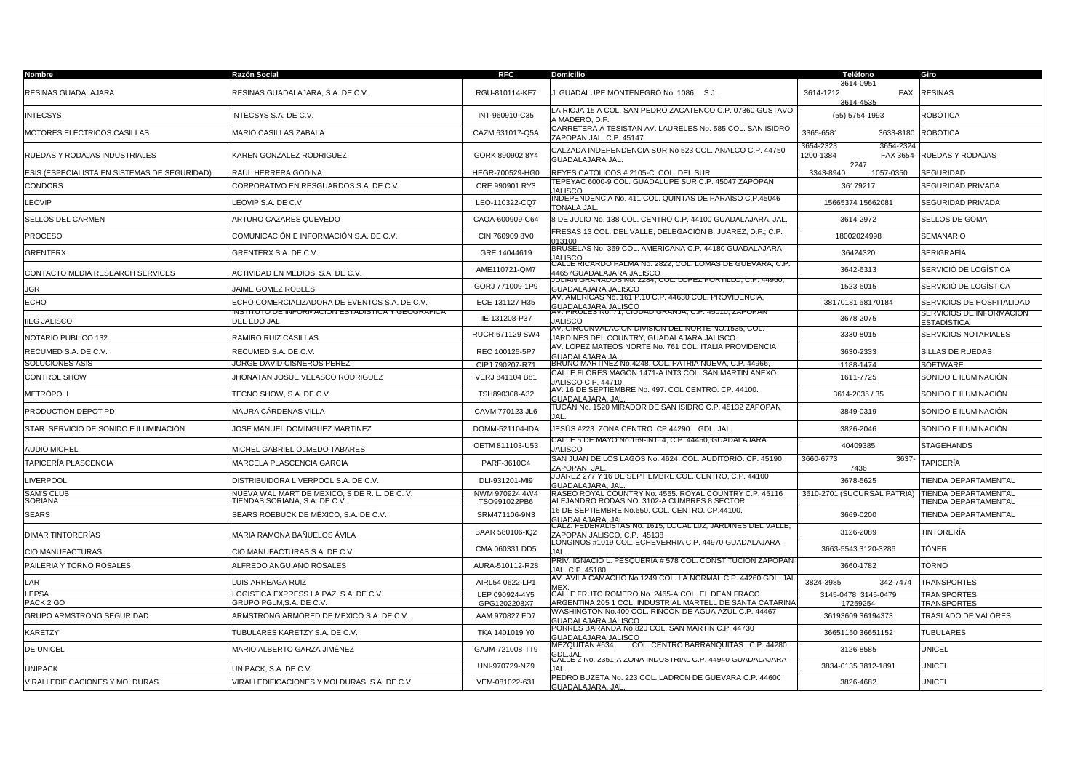| Nombre                                       | Razón Social                                                                                       | <b>RFC</b>                     | <b>Domicilio</b>                                                                                                                                | Teléfono                                                 | Giro                                                |
|----------------------------------------------|----------------------------------------------------------------------------------------------------|--------------------------------|-------------------------------------------------------------------------------------------------------------------------------------------------|----------------------------------------------------------|-----------------------------------------------------|
| RESINAS GUADALAJARA                          | RESINAS GUADALAJARA, S.A. DE C.V.                                                                  | RGU-810114-KF7                 | J. GUADALUPE MONTENEGRO No. 1086 S.J.                                                                                                           | 3614-0951<br>3614-1212<br>FAX<br>3614-4535               | <b>RESINAS</b>                                      |
| <b>INTECSYS</b>                              | INTECSYS S.A. DE C.V.                                                                              | INT-960910-C35                 | LA RIOJA 15 A COL. SAN PEDRO ZACATENCO C.P. 07360 GUSTAVO<br><b>MADERO, D.F.</b>                                                                | (55) 5754-1993                                           | ROBÓTICA                                            |
| MOTORES ELÉCTRICOS CASILLAS                  | MARIO CASILLAS ZABALA                                                                              | CAZM 631017-Q5A                | CARRETERA A TESISTAN AV. LAURELES No. 585 COL. SAN ISIDRO<br>ZAPOPAN JAL, C.P. 45147                                                            | 3365-6581<br>3633-8180                                   | <b>ROBÓTICA</b>                                     |
| RUEDAS Y RODAJAS INDUSTRIALES                | KAREN GONZALEZ RODRIGUEZ                                                                           | GORK 890902 8Y4                | CALZADA INDEPENDENCIA SUR No 523 COL. ANALCO C.P. 44750<br>GUADALAJARA JAL.                                                                     | 3654-2323<br>3654-2324<br>1200-1384<br>FAX 3654-<br>2247 | RUEDAS Y RODAJAS                                    |
| ESIS (ESPECIALISTA EN SISTEMAS DE SEGURIDAD) | RAÚL HERRERA GODINA                                                                                | HEGR-700529-HG0                | REYES CATÓLICOS # 2105-C COL. DEL SUR                                                                                                           | 3343-8940<br>1057-0350                                   | <b>SEGURIDAD</b>                                    |
| CONDORS                                      | CORPORATIVO EN RESGUARDOS S.A. DE C.V.                                                             | CRE 990901 RY3                 | [EPEYAC 6000-9 COL. GUADALUPE SUR C.P. 45047 ZAPOPAN<br><b>JALISCO</b>                                                                          | 36179217                                                 | SEGURIDAD PRIVADA                                   |
| LEOVIP                                       | LEOVIP S.A. DE C.V                                                                                 | LEO-110322-CQ7                 | INDEPENDENCIA No. 411 COL. QUINTAS DE PARAÍSO C.P.45046<br>TONALÁ JAL                                                                           | 15665374 15662081                                        | SEGURIDAD PRIVADA                                   |
| SELLOS DEL CARMEN                            | ARTURO CAZARES QUEVEDO                                                                             | CAQA-600909-C64                | 8 DE JULIO No. 138 COL. CENTRO C.P. 44100 GUADALAJARA, JAL                                                                                      | 3614-2972                                                | SELLOS DE GOMA                                      |
| PROCESO                                      | COMUNICACIÓN E INFORMACIÓN S.A. DE C.V.                                                            | CIN 760909 8V0                 | FRESAS 13 COL. DEL VALLE, DELEGACIÓN B. JUÀREZ, D.F.; C.P.<br>13100                                                                             | 18002024998                                              | <b>SEMANARIO</b>                                    |
| GRENTERX                                     | GRENTERX S.A. DE C.V.                                                                              | GRE 14044619                   | BRUSELAS No. 369 COL. AMERICANA C.P. 44180 GUADALAJARA<br><b>JALISCO</b>                                                                        | 36424320                                                 | <b>SERIGRAFIA</b>                                   |
| CONTACTO MEDIA RESEARCH SERVICES             | ACTIVIDAD EN MEDIOS, S.A. DE C.V.                                                                  | AME110721-QM7                  | CALLE RICARDO PALMA No. 2822, COL. LOMAS DE GUEVARA, C.P.<br>44657GUADALAJARA JALISCO                                                           | 3642-6313                                                | SERVICIÓ DE LOGÍSTICA                               |
| <b>JGR</b>                                   | JAIME GOMEZ ROBLES                                                                                 | GORJ 771009-1P9                | IULIAN GRANADOS N0. 2284, COL. LOPEZ PORTILLO, C.P. 44960,<br><b>GUADALAJARA JALISCO</b>                                                        | 1523-6015                                                | SERVICIÓ DE LOGÍSTICA                               |
| <b>ECHO</b>                                  | ECHO COMERCIALIZADORA DE EVENTOS S.A. DE C.V.<br>INSTITUTO DE INFORMACION ESTADISTICA Y GEOGRAFICA | ECE 131127 H35                 | AV. AMERICAS No. 161 P.10 C.P. 44630 COL. PROVIDENCIA,<br><u>GUADALA IARA JALISCO.</u><br>GV. PIRULLERO: 71, CIUDAD GRANJA, C.P. 45010, ZAPOPAN | 38170181 68170184                                        | SERVICIOS DE HOSPITALIDAD                           |
| <b>IIEG JALISCO</b>                          | DEL EDO JAL                                                                                        | IIE 131208-P37                 | <b>JALISCO</b>                                                                                                                                  | 3678-2075                                                | SERVICIOS DE INFORMACION<br><u>ESTADÍSTICA</u>      |
| NOTARIO PUBLICO 132                          | RAMIRO RUIZ CASILLAS                                                                               | RUCR 671129 SW4                | AV. CIRCUNVALACION DIVISION DEL NORTE NO.1535, COL.<br>IARDINES DEL COUNTRY, GUADALAJARA JALISCO.                                               | 3330-8015                                                | SERVICIOS NOTARIALES                                |
| RECUMED S.A. DE C.V.                         | RECUMED S.A. DE C.V.                                                                               | REC 100125-5P7                 | AV. LÓPEZ MATEOS NORTE No. 761 COL. ITALIA PROVIDENCIA<br><b>GUADALAJARA JAI</b>                                                                | 3630-2333                                                | SILLAS DE RUEDAS                                    |
| SOLUCIONES ASIS                              | JORGE DAVID CISNEROS PEREZ                                                                         | CIPJ 790207-R71                | BRUNO MARTINEZ No.4248, COL. PATRIA NUEVA, C.P. 44966                                                                                           | 1188-1474                                                | <b>SOFTWARE</b>                                     |
| CONTROL SHOW                                 | JHONATAN JOSUE VELASCO RODRIGUEZ                                                                   | VERJ 841104 B81                | CALLE FLORES MAGON 1471-A INT3 COL. SAN MARTIN ANEXO<br>JALISCO C.P. 44710                                                                      | 1611-7725                                                | SONIDO E ILUMINACIÓN                                |
| METRÓPOLI                                    | TECNO SHOW, S.A. DE C.V.                                                                           | TSH890308-A32                  | AV. 16 DE SEPTIEMBRE No. 497. COL CENTRO. CP. 44100.<br>GUADALAJARA. JAL                                                                        | 3614-2035 / 35                                           | SONIDO E ILUMINACIÓN                                |
| PRODUCTION DEPOT PD                          | MAURA CÁRDENAS VILLA                                                                               | CAVM 770123 JL6                | TUCÁN No. 1520 MIRADOR DE SAN ISIDRO C.P. 45132 ZAPOPAN                                                                                         | 3849-0319                                                | SONIDO E ILUMINACIÓN                                |
| STAR SERVICIO DE SONIDO E ILUMINACIÓN        | JOSE MANUEL DOMINGUEZ MARTINEZ                                                                     | DOMM-521104-IDA                | JESÚS #223 ZONA CENTRO CP.44290 GDL. JAL                                                                                                        | 3826-2046                                                | SONIDO E ILUMINACIÓN                                |
| <b>AUDIO MICHEL</b>                          | MICHEL GABRIEL OLMEDO TABARES                                                                      | OETM 811103-U53                | CALLE 5 DE MAYO No.169-INT. 4, C.P. 44450, GUADALAJARA<br><b>JALISCO</b>                                                                        | 40409385                                                 | <b>STAGEHANDS</b>                                   |
| TAPICERÍA PLASCENCIA                         | MARCELA PLASCENCIA GARCIA                                                                          | PARF-3610C4                    | SAN JUAN DE LOS LAGOS No. 4624. COL. AUDITORIO. CP. 45190.<br>ZAPOPAN, JAL                                                                      | 3660-6773<br>3637<br>7436                                | <b>TAPICERÍA</b>                                    |
| LIVERPOOL                                    | DISTRIBUIDORA LIVERPOOL S.A. DE C.V.                                                               | DLI-931201-MI9                 | JUAREZ 277 Y 16 DE SEPTIEMBRE COL. CENTRO, C.P. 44100<br><b>GUADALAJARA, JAL</b>                                                                | 3678-5625                                                | TIENDA DEPARTAMENTAL                                |
| <b>SAM'S CLUB</b><br>SORIANA                 | NUEVA WAL MART DE MEXICO, S DE R. L. DE C. V.<br>TIENDAS SORIANA, S.A. DE C.V.                     | NWM 970924 4W4<br>TSO991022PB6 | RASEO ROYAL COUNTRY No. 4555. ROYAL COUNTRY C.P. 45116<br>ALEJANDRO RODAS NO. 3102-A CUMBRES 8 SECTOR                                           | 3610-2701 (SUCURSAL PATRIA)                              | <b>TIENDA DEPARTAMENTAL</b><br>TIENDA DEPARTAMENTAL |
| <b>SEARS</b>                                 | SEARS ROEBUCK DE MÉXICO. S.A. DE C.V.                                                              | SRM471106-9N3                  | 16 DE SEPTIEMBRE No.650. COL. CENTRO. CP.44100.<br>GUADALAJARA, JAL                                                                             | 3669-0200                                                | TIENDA DEPARTAMENTAL                                |
| DIMAR TINTORERÍAS                            | MARIA RAMONA BAÑUELOS ÁVILA                                                                        | BAAR 580106-IQ2                | CALZ. FEDERALISTAS No. 1615, LOCAL L02, JARDINES DEL VALLE,<br>ZAPOPAN JALISCO, C.P. 45138                                                      | 3126-2089                                                | TINTORERÍA                                          |
| CIO MANUFACTURAS                             | CIO MANUFACTURAS S.A. DE C.V.                                                                      | CMA 060331 DD5                 | LONGINOS #1019 COL. ECHEVERRIA C.P. 44970 GUADALAJARA<br>JAL                                                                                    | 3663-5543 3120-3286                                      | TÓNER                                               |
| PAILERIA Y TORNO ROSALES                     | ALFREDO ANGUIANO ROSALES                                                                           | AURA-510112-R28                | PRIV. IGNACIO L. PESQUERIA # 578 COL. CONSTITUCION ZAPOPAN<br>JAL. C.P. 45180                                                                   | 3660-1782                                                | <b>TORNO</b>                                        |
| LAR                                          | LUIS ARREAGA RUIZ                                                                                  | AIRL54 0622-LP1                | AV. AVILA CAMACHO No 1249 COL. LA NORMAL C.P. 44260 GDL. JAL<br><b>MEY</b>                                                                      | 3824-3985<br>342-7474                                    | <b>TRANSPORTES</b>                                  |
| LEPSA                                        | LOGISTICA EXPRESS LA PAZ. S.A. DE C.V.                                                             | LEP 090924-4Y5                 | CALLE FRUTO ROMERO No. 2465-A COL. EL DEAN FRACC                                                                                                | 3145-0478 3145-0479                                      | <b>TRANSPORTES</b>                                  |
| PACK 2 GO                                    | GRUPO PGLM, S.A. DE C.V.                                                                           | GPG1202208X7                   | ARGENTINA 205 1 COL. INDUSTRIAL MARTELL DE SANTA CATARINA<br>WASHINGTON No.400 COL. RINCON DE AGUA AZUL C.P. 44467                              | 17259254                                                 | <b>TRANSPORTES</b>                                  |
| GRUPO ARMSTRONG SEGURIDAD                    | ARMSTRONG ARMORED DE MEXICO S.A. DE C.V.                                                           | AAM 970827 FD7                 | GUADALAJARA JALISCO<br>PORRES BARANDA No.820 COL. SAN MARTIN C.P. 44730                                                                         | 36193609 36194373                                        | TRASLADO DE VALORES                                 |
| KARETZY                                      | TUBULARES KARETZY S.A. DE C.V.                                                                     | TKA 1401019 Y0                 | <b>GUADALAJARA JALISCO</b><br>COL. CENTRO BARRANQUITAS C.P. 44280<br>MEZQUITAN #634                                                             | 36651150 36651152                                        | <b>TUBULARES</b>                                    |
| DE UNICEL                                    | MARIO ALBERTO GARZA JIMÉNEZ                                                                        | GAJM-721008-TT9                | <b>GDL.JAL</b><br>CALLE Z NO. 2351-A ZUNA INDUSTRIAL C.P. 44940 GUADALAJARA                                                                     | 3126-8585                                                | <b>UNICEL</b>                                       |
| <b>UNIPACK</b>                               | JNIPACK, S.A. DE C.V.                                                                              | UNI-970729-NZ9                 | JAL                                                                                                                                             | 3834-0135 3812-1891                                      | <b>UNICEL</b>                                       |
| VIRALI EDIFICACIONES Y MOLDURAS              | VIRALI EDIFICACIONES Y MOLDURAS, S.A. DE C.V.                                                      | VEM-081022-631                 | PEDRO BUZETA No. 223 COL. LADRON DE GUEVARA C.P. 44600<br>GUADALAJARA, JAL                                                                      | 3826-4682                                                | <b>UNICEL</b>                                       |